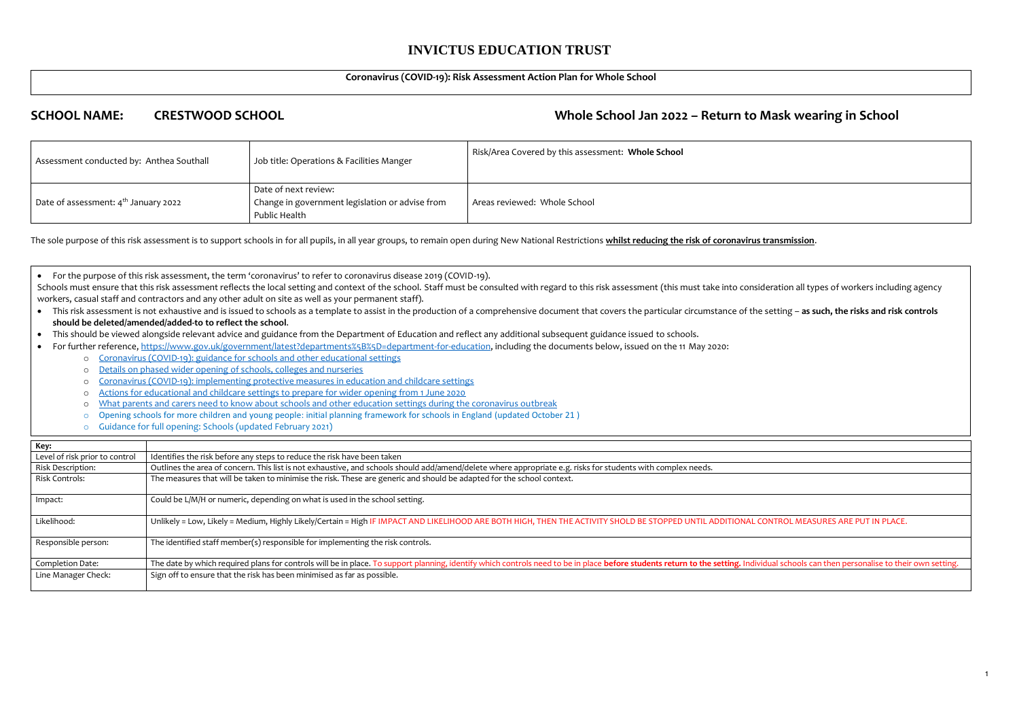#### **Coronavirus (COVID-19): Risk Assessment Action Plan for Whole School**

# **SCHOOL NAME: CRESTWOOD SCHOOL Whole School Jan 2022 – Return to Mask wearing in School**

| Assessment conducted by: Anthea Southall         | Job title: Operations & Facilities Manger                                                | Risk/Area Covered by this assessment: Whole School |
|--------------------------------------------------|------------------------------------------------------------------------------------------|----------------------------------------------------|
| Date of assessment: 4 <sup>th</sup> January 2022 | Date of next review:<br>Change in government legislation or advise from<br>Public Health | Areas reviewed: Whole School                       |

The sole purpose of this risk assessment is to support schools in for all pupils, in all year groups, to remain open during New National Restrictions **whilst reducing the risk of coronavirus transmission**.

Schools must ensure that this risk assessment reflects the local setting and context of the school. Staff must be consulted with regard to this risk assessment (this must take into consideration all types of workers includ workers, casual staff and contractors and any other adult on site as well as your permanent staff).

| Key:                           |                                                                                                                                                                                  |
|--------------------------------|----------------------------------------------------------------------------------------------------------------------------------------------------------------------------------|
| Level of risk prior to control | Identifies the risk before any steps to reduce the risk have been taken                                                                                                          |
| Risk Description:              | Outlines the area of concern. This list is not exhaustive, and schools should add/amend/delete where appropriate e.g. risks for students with complex needs.                     |
| <b>Risk Controls:</b>          | The measures that will be taken to minimise the risk. These are generic and should be adapted for the school context.                                                            |
| Impact:                        | Could be L/M/H or numeric, depending on what is used in the school setting.                                                                                                      |
| Likelihood:                    | Unlikely = Low, Likely = Medium, Highly Likely/Certain = High IF IMPACT AND LIKELIHOOD ARE BOTH HIGH, THEN THE ACTIVITY SHOLD BE STOPPED UNTIL ADDITIONAL COI                    |
| Responsible person:            | The identified staff member(s) responsible for implementing the risk controls.                                                                                                   |
| Completion Date:               | The date by which required plans for controls will be in place. To support planning, identify which controls need to be in place before students return to the setting. Individu |
| Line Manager Check:            | Sign off to ensure that the risk has been minimised as far as possible.                                                                                                          |

NTROL MEASURES ARE PUT IN PLACE.

ual schools can then personalise to their own setting.

• This risk assessment is not exhaustive and is issued to schools as a template to assist in the production of a comprehensive document that covers the particular circumstance of the setting - as such, the risks and risk c **should be deleted/amended/added-to to reflect the school**.

• For the purpose of this risk assessment, the term 'coronavirus' to refer to coronavirus disease 2019 (COVID-19).

- This should be viewed alongside relevant advice and guidance from the Department of Education and reflect any additional subsequent guidance issued to schools.
- For further reference, [https://www.gov.uk/government/latest?departments%5B%5D=department-for-education,](https://www.gov.uk/government/latest?departments%5B%5D=department-for-education) including the documents below, issued on the 11 May 2020: o [Coronavirus \(COVID-19\): guidance for schools and other educational settings](https://www.gov.uk/government/collections/coronavirus-covid-19-guidance-for-schools-and-other-educational-settings)
	-
	- o Details on phased [wider opening of schools, colleges and nurseries](https://www.gov.uk/government/news/details-on-phased-wider-opening-of-schools-colleges-and-nurseries)
	- o [Coronavirus \(COVID-19\): implementing protective measures in education and childcare settings](https://www.gov.uk/government/publications/coronavirus-covid-19-implementing-protective-measures-in-education-and-childcare-settings)
	- o [Actions for educational and childcare settings to prepare for wider opening from 1 June 2020](https://www.gov.uk/government/publications/actions-for-educational-and-childcare-settings-to-prepare-for-wider-opening-from-1-june-2020)
	- o [What parents and carers need to know about schools and other education settings during the coronavirus outbreak](https://www.gov.uk/government/publications/closure-of-educational-settings-information-for-parents-and-carers)
	- o Opening schools for more children and young people: initial planning framework for schools in England (updated October 21 )
	- o Guidance for full opening: Schools (updated February 2021)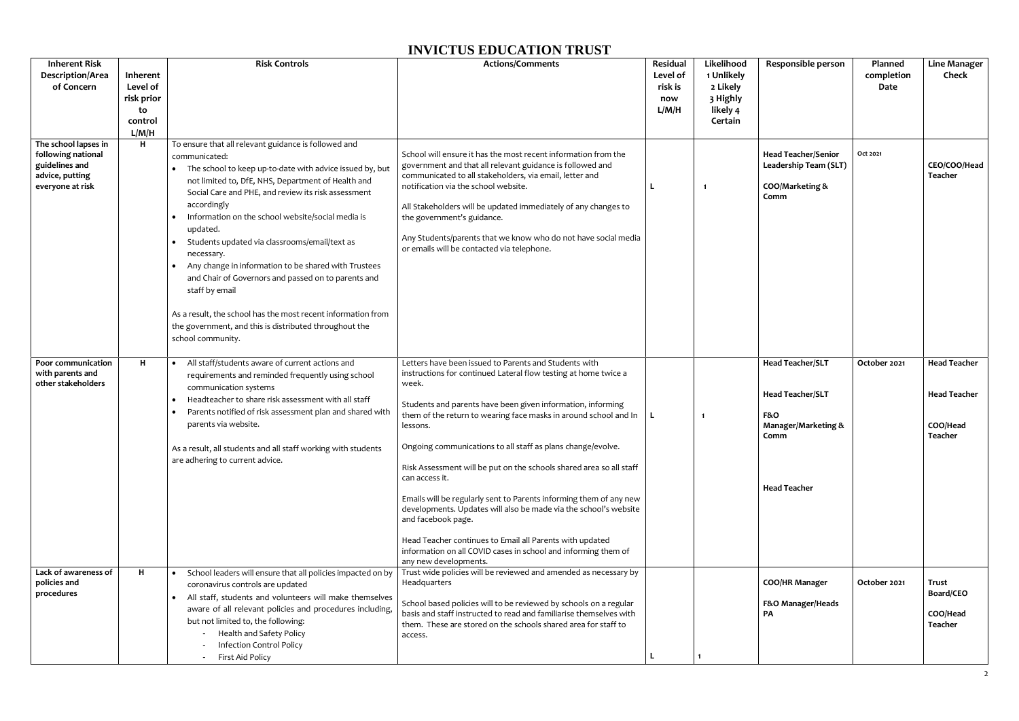| <b>Inherent Risk</b><br><b>Description/Area</b><br>of Concern                                       | Inherent<br>Level of<br>risk prior<br>to<br>control<br>L/M/H | <b>Risk Controls</b>                                                                                                                                                                                                                                                                                                                                                                                                                                                                                                                                                                                                                                                            | <b>Actions/Comments</b>                                                                                                                                                                                                                                                                                                                                                                                                                        | Residual<br>Level of<br>risk is<br>now<br>L/M/H | Likelihood<br>1 Unlikely<br>2 Likely<br>3 Highly<br>likely 4<br>Certain | Responsible person                                                                                             | Planned<br>completion<br>Date | <b>Line Manager</b><br><b>Check</b>                               |
|-----------------------------------------------------------------------------------------------------|--------------------------------------------------------------|---------------------------------------------------------------------------------------------------------------------------------------------------------------------------------------------------------------------------------------------------------------------------------------------------------------------------------------------------------------------------------------------------------------------------------------------------------------------------------------------------------------------------------------------------------------------------------------------------------------------------------------------------------------------------------|------------------------------------------------------------------------------------------------------------------------------------------------------------------------------------------------------------------------------------------------------------------------------------------------------------------------------------------------------------------------------------------------------------------------------------------------|-------------------------------------------------|-------------------------------------------------------------------------|----------------------------------------------------------------------------------------------------------------|-------------------------------|-------------------------------------------------------------------|
| The school lapses in<br>following national<br>guidelines and<br>advice, putting<br>everyone at risk | H                                                            | To ensure that all relevant guidance is followed and<br>communicated:<br>• The school to keep up-to-date with advice issued by, but<br>not limited to, DfE, NHS, Department of Health and<br>Social Care and PHE, and review its risk assessment<br>accordingly<br>Information on the school website/social media is<br>updated.<br>Students updated via classrooms/email/text as<br>necessary.<br>Any change in information to be shared with Trustees<br>and Chair of Governors and passed on to parents and<br>staff by email<br>As a result, the school has the most recent information from<br>the government, and this is distributed throughout the<br>school community. | School will ensure it has the most recent information from the<br>government and that all relevant guidance is followed and<br>communicated to all stakeholders, via email, letter and<br>notification via the school website.<br>All Stakeholders will be updated immediately of any changes to<br>the government's guidance.<br>Any Students/parents that we know who do not have social media<br>or emails will be contacted via telephone. |                                                 | $\blacksquare$                                                          | <b>Head Teacher/Senior</b><br>Leadership Team (SLT)<br>COO/Marketing &<br>Comm                                 | Oct 2021                      | CEO/COO/Head<br><b>Teacher</b>                                    |
| Poor communication<br>with parents and<br>other stakeholders                                        | н                                                            | All staff/students aware of current actions and<br>$\bullet$<br>requirements and reminded frequently using school<br>communication systems<br>Headteacher to share risk assessment with all staff<br>$\bullet$<br>Parents notified of risk assessment plan and shared with<br>parents via website.<br>As a result, all students and all staff working with students<br>are adhering to current advice.                                                                                                                                                                                                                                                                          | Letters have been issued to Parents and Students with<br>instructions for continued Lateral flow testing at home twice a<br>week.<br>Students and parents have been given information, informing<br>them of the return to wearing face masks in around school and In $\parallel$<br>lessons.<br>Ongoing communications to all staff as plans change/evolve.                                                                                    |                                                 |                                                                         | <b>Head Teacher/SLT</b><br><b>Head Teacher/SLT</b><br><b>F&amp;O</b><br><b>Manager/Marketing &amp;</b><br>Comm | October 2021                  | <b>Head Teacher</b><br><b>Head Teacher</b><br>COO/Head<br>Teacher |
|                                                                                                     |                                                              |                                                                                                                                                                                                                                                                                                                                                                                                                                                                                                                                                                                                                                                                                 | Risk Assessment will be put on the schools shared area so all staff<br>can access it.<br>Emails will be regularly sent to Parents informing them of any new<br>developments. Updates will also be made via the school's website<br>and facebook page.<br>Head Teacher continues to Email all Parents with updated<br>information on all COVID cases in school and informing them of<br>any new developments.                                   |                                                 |                                                                         | <b>Head Teacher</b>                                                                                            |                               |                                                                   |
| Lack of awareness of<br>policies and<br>procedures                                                  | H                                                            | School leaders will ensure that all policies impacted on by<br>coronavirus controls are updated<br>• All staff, students and volunteers will make themselves<br>aware of all relevant policies and procedures including,<br>but not limited to, the following:<br>Health and Safety Policy<br><b>Infection Control Policy</b><br>First Aid Policy                                                                                                                                                                                                                                                                                                                               | Trust wide policies will be reviewed and amended as necessary by<br>Headquarters<br>School based policies will to be reviewed by schools on a regular<br>basis and staff instructed to read and familiarise themselves with<br>them. These are stored on the schools shared area for staff to<br>access.                                                                                                                                       |                                                 |                                                                         | <b>COO/HR Manager</b><br>F&O Manager/Heads<br>PA                                                               | October 2021                  | <b>Trust</b><br>Board/CEO<br>COO/Head<br>Teacher                  |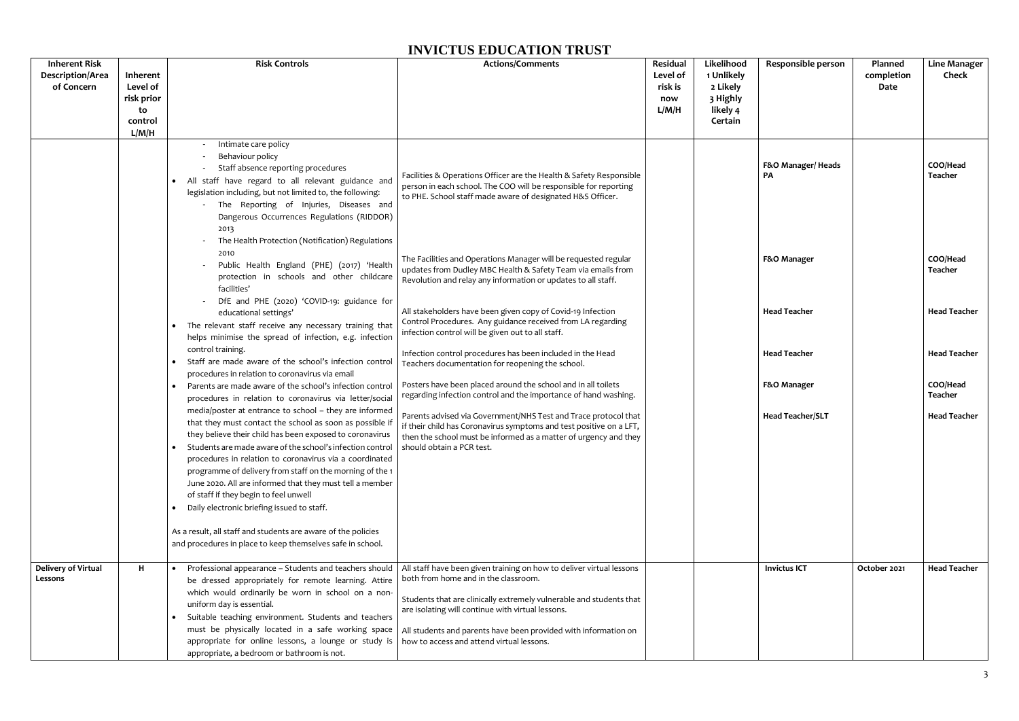| <b>Inherent Risk</b><br><b>Description/Area</b><br>of Concern | Inherent<br>Level of<br>risk prior<br>to<br>control<br>L/M/H | <b>Risk Controls</b>                                                                                                                                                                                                                                                                                                                                                                                                                                                                                                    | <b>Actions/Comments</b>                                                                                                                                                                                                                                                                                                                                  | Residual<br>Level of<br>risk is<br>now<br>L/M/H | Likelihood<br>1 Unlikely<br>2 Likely<br>3 Highly<br>likely 4<br>Certain | Responsible person             | Planned<br>completion<br>Date | <b>Line Manager</b><br><b>Check</b> |
|---------------------------------------------------------------|--------------------------------------------------------------|-------------------------------------------------------------------------------------------------------------------------------------------------------------------------------------------------------------------------------------------------------------------------------------------------------------------------------------------------------------------------------------------------------------------------------------------------------------------------------------------------------------------------|----------------------------------------------------------------------------------------------------------------------------------------------------------------------------------------------------------------------------------------------------------------------------------------------------------------------------------------------------------|-------------------------------------------------|-------------------------------------------------------------------------|--------------------------------|-------------------------------|-------------------------------------|
|                                                               |                                                              | Intimate care policy<br>Behaviour policy<br>Staff absence reporting procedures<br>All staff have regard to all relevant guidance and<br>$\bullet$<br>legislation including, but not limited to, the following:<br>The Reporting of Injuries, Diseases and<br>Dangerous Occurrences Regulations (RIDDOR)<br>2013<br>The Health Protection (Notification) Regulations                                                                                                                                                     | Facilities & Operations Officer are the Health & Safety Responsible<br>person in each school. The COO will be responsible for reporting<br>to PHE. School staff made aware of designated H&S Officer.                                                                                                                                                    |                                                 |                                                                         | F&O Manager/Heads<br><b>PA</b> |                               | COO/Head<br>Teacher                 |
|                                                               |                                                              | 2010<br>Public Health England (PHE) (2017) 'Health<br>protection in schools and other childcare<br>facilities'                                                                                                                                                                                                                                                                                                                                                                                                          | The Facilities and Operations Manager will be requested regular<br>updates from Dudley MBC Health & Safety Team via emails from<br>Revolution and relay any information or updates to all staff.                                                                                                                                                         |                                                 |                                                                         | F&O Manager                    |                               | COO/Head<br>Teacher                 |
|                                                               |                                                              | DfE and PHE (2020) 'COVID-19: guidance for<br>educational settings'<br>The relevant staff receive any necessary training that<br>helps minimise the spread of infection, e.g. infection                                                                                                                                                                                                                                                                                                                                 | All stakeholders have been given copy of Covid-19 Infection<br>Control Procedures. Any guidance received from LA regarding<br>infection control will be given out to all staff.                                                                                                                                                                          |                                                 |                                                                         | <b>Head Teacher</b>            |                               | <b>Head Teacher</b>                 |
|                                                               |                                                              | control training.<br>Staff are made aware of the school's infection control<br>procedures in relation to coronavirus via email                                                                                                                                                                                                                                                                                                                                                                                          | Infection control procedures has been included in the Head<br>Teachers documentation for reopening the school.                                                                                                                                                                                                                                           |                                                 |                                                                         | <b>Head Teacher</b>            |                               | <b>Head Teacher</b>                 |
|                                                               |                                                              | Parents are made aware of the school's infection control<br>$\bullet$<br>procedures in relation to coronavirus via letter/social                                                                                                                                                                                                                                                                                                                                                                                        | Posters have been placed around the school and in all toilets<br>regarding infection control and the importance of hand washing.                                                                                                                                                                                                                         |                                                 |                                                                         | F&O Manager                    |                               | COO/Head<br>Teacher                 |
|                                                               |                                                              | media/poster at entrance to school - they are informed<br>that they must contact the school as soon as possible if<br>they believe their child has been exposed to coronavirus<br>Students are made aware of the school's infection control<br>procedures in relation to coronavirus via a coordinated<br>programme of delivery from staff on the morning of the 1<br>June 2020. All are informed that they must tell a member<br>of staff if they begin to feel unwell<br>• Daily electronic briefing issued to staff. | Parents advised via Government/NHS Test and Trace protocol that<br>if their child has Coronavirus symptoms and test positive on a LFT,<br>then the school must be informed as a matter of urgency and they<br>should obtain a PCR test.                                                                                                                  |                                                 |                                                                         | <b>Head Teacher/SLT</b>        |                               | <b>Head Teacher</b>                 |
|                                                               |                                                              | As a result, all staff and students are aware of the policies<br>and procedures in place to keep themselves safe in school.                                                                                                                                                                                                                                                                                                                                                                                             |                                                                                                                                                                                                                                                                                                                                                          |                                                 |                                                                         |                                |                               |                                     |
| <b>Delivery of Virtual</b><br>Lessons                         | H                                                            | • Professional appearance - Students and teachers should<br>be dressed appropriately for remote learning. Attire<br>which would ordinarily be worn in school on a non-<br>uniform day is essential.<br>Suitable teaching environment. Students and teachers<br>$\bullet$<br>must be physically located in a safe working space<br>appropriate for online lessons, a lounge or study is<br>appropriate, a bedroom or bathroom is not.                                                                                    | All staff have been given training on how to deliver virtual lessons<br>both from home and in the classroom.<br>Students that are clinically extremely vulnerable and students that<br>are isolating will continue with virtual lessons.<br>All students and parents have been provided with information on<br>how to access and attend virtual lessons. |                                                 |                                                                         | <b>Invictus ICT</b>            | October 2021                  | <b>Head Teacher</b>                 |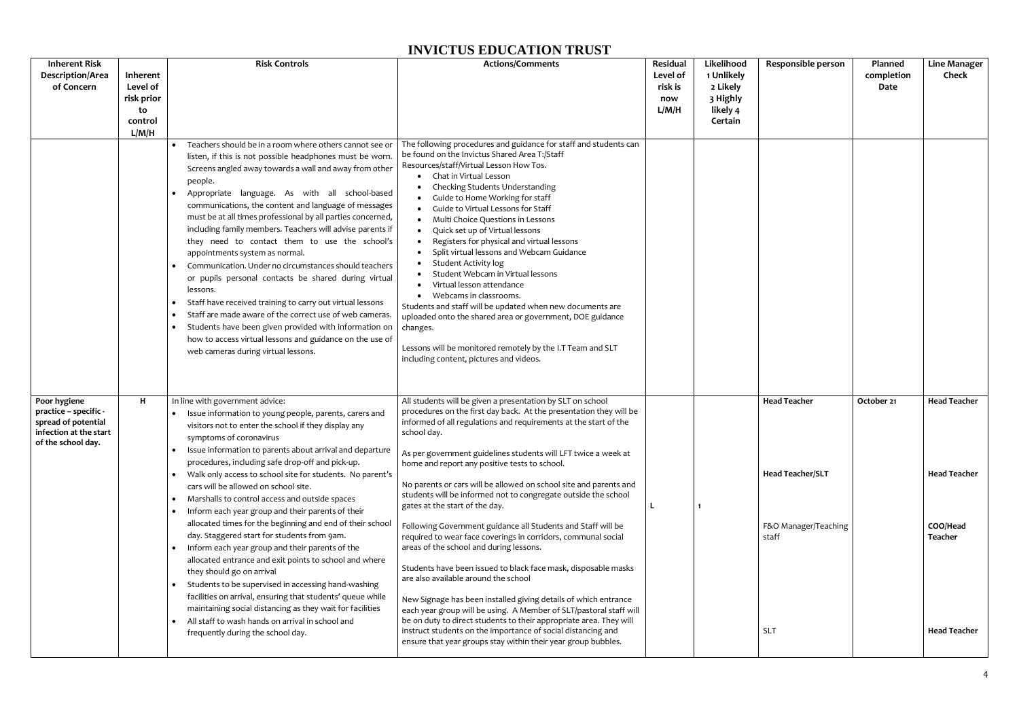| <b>Inherent Risk</b>                                                                                         |                                                              | <b>Risk Controls</b>                                                                                                                                                                                                                                                                                                                                                                                                                                                                                                                                                                                                                                                                                                                                                                                                                                                                                                                           | <b>Actions/Comments</b>                                                                                                                                                                                                                                                                                                                                                                                                                                                                                                                                                                                                                                                                                                                                                                                                                                                  | Residual                            | Likelihood                                                | Responsible person                                                              | Planned            | <b>Line Manager</b>                                               |
|--------------------------------------------------------------------------------------------------------------|--------------------------------------------------------------|------------------------------------------------------------------------------------------------------------------------------------------------------------------------------------------------------------------------------------------------------------------------------------------------------------------------------------------------------------------------------------------------------------------------------------------------------------------------------------------------------------------------------------------------------------------------------------------------------------------------------------------------------------------------------------------------------------------------------------------------------------------------------------------------------------------------------------------------------------------------------------------------------------------------------------------------|--------------------------------------------------------------------------------------------------------------------------------------------------------------------------------------------------------------------------------------------------------------------------------------------------------------------------------------------------------------------------------------------------------------------------------------------------------------------------------------------------------------------------------------------------------------------------------------------------------------------------------------------------------------------------------------------------------------------------------------------------------------------------------------------------------------------------------------------------------------------------|-------------------------------------|-----------------------------------------------------------|---------------------------------------------------------------------------------|--------------------|-------------------------------------------------------------------|
| <b>Description/Area</b><br>of Concern                                                                        | Inherent<br>Level of<br>risk prior<br>to<br>control<br>L/M/H | Teachers should be in a room where others cannot see or<br>listen, if this is not possible headphones must be worn<br>Screens angled away towards a wall and away from other<br>people.<br>Appropriate language. As with all school-based<br>communications, the content and language of messages<br>must be at all times professional by all parties concerned,<br>including family members. Teachers will advise parents if<br>they need to contact them to use the school's<br>appointments system as normal.<br>Communication. Under no circumstances should teachers<br>or pupils personal contacts be shared during virtual<br>lessons.<br>Staff have received training to carry out virtual lessons<br>Staff are made aware of the correct use of web cameras.<br>$\bullet$<br>Students have been given provided with information on<br>how to access virtual lessons and guidance on the use of<br>web cameras during virtual lessons. | The following procedures and guidance for staff and students can<br>be found on the Invictus Shared Area T:/Staff<br>Resources/staff/Virtual Lesson How Tos.<br>Chat in Virtual Lesson<br>Checking Students Understanding<br>Guide to Home Working for staff<br>Guide to Virtual Lessons for Staff<br>Multi Choice Questions in Lessons<br>Quick set up of Virtual lessons<br>$\bullet$<br>Registers for physical and virtual lessons<br>Split virtual lessons and Webcam Guidance<br><b>Student Activity log</b><br>Student Webcam in Virtual lessons<br>Virtual lesson attendance<br>Webcams in classrooms.<br>Students and staff will be updated when new documents are<br>uploaded onto the shared area or government, DOE guidance<br>changes.<br>Lessons will be monitored remotely by the I.T Team and SLT<br>including content, pictures and videos.             | Level of<br>risk is<br>now<br>L/M/H | 1 Unlikely<br>2 Likely<br>3 Highly<br>likely 4<br>Certain |                                                                                 | completion<br>Date | Check                                                             |
| Poor hygiene<br>practice - specific -<br>spread of potential<br>infection at the start<br>of the school day. | H                                                            | In line with government advice:<br>Issue information to young people, parents, carers and<br>visitors not to enter the school if they display any<br>symptoms of coronavirus<br>Issue information to parents about arrival and departure<br>procedures, including safe drop-off and pick-up.<br>• Walk only access to school site for students. No parent's<br>cars will be allowed on school site.<br>Marshalls to control access and outside spaces<br>$\bullet$<br>• Inform each year group and their parents of their<br>allocated times for the beginning and end of their school<br>day. Staggered start for students from 9am.<br>• Inform each year group and their parents of the<br>allocated entrance and exit points to school and where<br>they should go on arrival<br>Students to be supervised in accessing hand-washing<br>$\bullet$<br>facilities on arrival, ensuring that students' queue while                            | All students will be given a presentation by SLT on school<br>procedures on the first day back. At the presentation they will be<br>informed of all regulations and requirements at the start of the<br>school day.<br>As per government guidelines students will LFT twice a week at<br>home and report any positive tests to school.<br>No parents or cars will be allowed on school site and parents and<br>students will be informed not to congregate outside the school<br>gates at the start of the day.<br>Following Government guidance all Students and Staff will be<br>required to wear face coverings in corridors, communal social<br>areas of the school and during lessons.<br>Students have been issued to black face mask, disposable masks<br>are also available around the school<br>New Signage has been installed giving details of which entrance |                                     |                                                           | <b>Head Teacher</b><br><b>Head Teacher/SLT</b><br>F&O Manager/Teaching<br>staff | October 21         | <b>Head Teacher</b><br><b>Head Teacher</b><br>COO/Head<br>Teacher |
|                                                                                                              |                                                              | maintaining social distancing as they wait for facilities<br>All staff to wash hands on arrival in school and<br>frequently during the school day.                                                                                                                                                                                                                                                                                                                                                                                                                                                                                                                                                                                                                                                                                                                                                                                             | each year group will be using. A Member of SLT/pastoral staff will<br>be on duty to direct students to their appropriate area. They will<br>instruct students on the importance of social distancing and<br>ensure that year groups stay within their year group bubbles.                                                                                                                                                                                                                                                                                                                                                                                                                                                                                                                                                                                                |                                     |                                                           | <b>SLT</b>                                                                      |                    | <b>Head Teacher</b>                                               |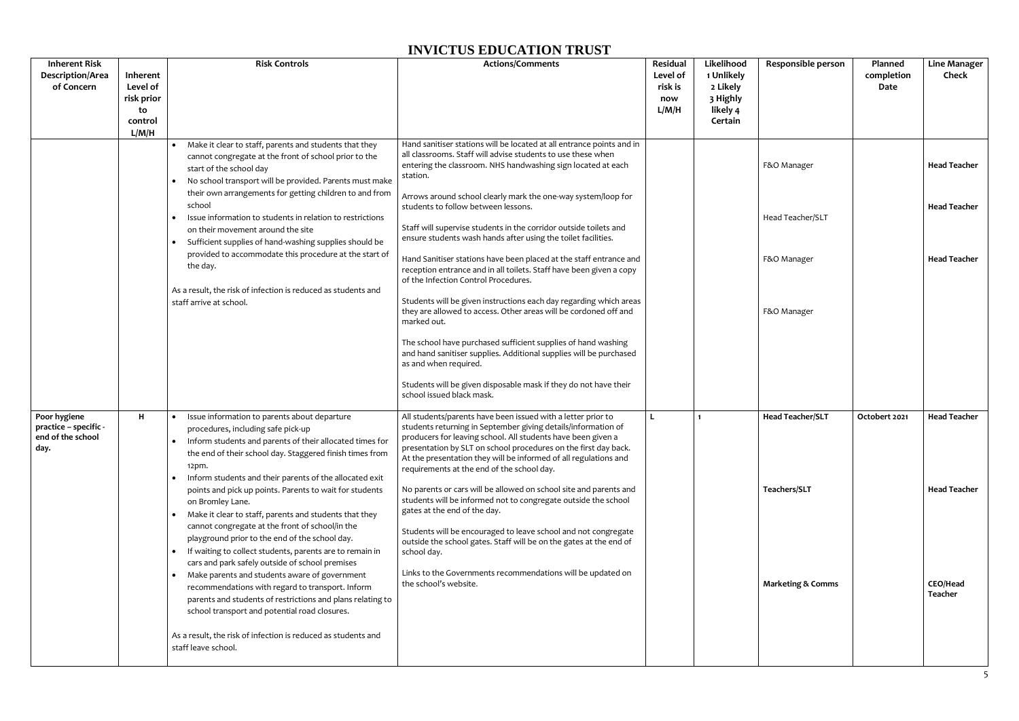| <b>Inherent Risk</b>                                               |                                                              | <b>Risk Controls</b>                                                                                                                                                                                                                                                                           | <b>Actions/Comments</b>                                                                                                                                                                                                                                                                                                                                                            | Residual                            | Likelihood                                                | <b>Responsible person</b>    | Planned            | <b>Line Manager</b> |
|--------------------------------------------------------------------|--------------------------------------------------------------|------------------------------------------------------------------------------------------------------------------------------------------------------------------------------------------------------------------------------------------------------------------------------------------------|------------------------------------------------------------------------------------------------------------------------------------------------------------------------------------------------------------------------------------------------------------------------------------------------------------------------------------------------------------------------------------|-------------------------------------|-----------------------------------------------------------|------------------------------|--------------------|---------------------|
| <b>Description/Area</b><br>of Concern                              | Inherent<br>Level of<br>risk prior<br>to<br>control<br>L/M/H |                                                                                                                                                                                                                                                                                                |                                                                                                                                                                                                                                                                                                                                                                                    | Level of<br>risk is<br>now<br>L/M/H | 1 Unlikely<br>2 Likely<br>3 Highly<br>likely 4<br>Certain |                              | completion<br>Date | <b>Check</b>        |
|                                                                    |                                                              | Make it clear to staff, parents and students that they<br>cannot congregate at the front of school prior to the<br>start of the school day<br>• No school transport will be provided. Parents must make                                                                                        | Hand sanitiser stations will be located at all entrance points and in<br>all classrooms. Staff will advise students to use these when<br>entering the classroom. NHS handwashing sign located at each<br>station.                                                                                                                                                                  |                                     |                                                           | F&O Manager                  |                    | <b>Head Teacher</b> |
|                                                                    |                                                              | their own arrangements for getting children to and from<br>school<br>Issue information to students in relation to restrictions<br>on their movement around the site<br>Sufficient supplies of hand-washing supplies should be<br>$\bullet$                                                     | Arrows around school clearly mark the one-way system/loop for<br>students to follow between lessons.<br>Staff will supervise students in the corridor outside toilets and<br>ensure students wash hands after using the toilet facilities.                                                                                                                                         |                                     |                                                           | Head Teacher/SLT             |                    | <b>Head Teacher</b> |
|                                                                    |                                                              | provided to accommodate this procedure at the start of<br>the day.                                                                                                                                                                                                                             | Hand Sanitiser stations have been placed at the staff entrance and<br>reception entrance and in all toilets. Staff have been given a copy<br>of the Infection Control Procedures.                                                                                                                                                                                                  |                                     |                                                           | F&O Manager                  |                    | <b>Head Teacher</b> |
|                                                                    |                                                              | As a result, the risk of infection is reduced as students and<br>staff arrive at school.                                                                                                                                                                                                       | Students will be given instructions each day regarding which areas<br>they are allowed to access. Other areas will be cordoned off and<br>marked out.                                                                                                                                                                                                                              |                                     |                                                           | F&O Manager                  |                    |                     |
|                                                                    |                                                              |                                                                                                                                                                                                                                                                                                | The school have purchased sufficient supplies of hand washing<br>and hand sanitiser supplies. Additional supplies will be purchased<br>as and when required.                                                                                                                                                                                                                       |                                     |                                                           |                              |                    |                     |
|                                                                    |                                                              |                                                                                                                                                                                                                                                                                                | Students will be given disposable mask if they do not have their<br>school issued black mask.                                                                                                                                                                                                                                                                                      |                                     |                                                           |                              |                    |                     |
| Poor hygiene<br>practice - specific -<br>end of the school<br>day. | H                                                            | Issue information to parents about departure<br>$\bullet$<br>procedures, including safe pick-up<br>Inform students and parents of their allocated times for<br>the end of their school day. Staggered finish times from<br>$12pm$ .<br>Inform students and their parents of the allocated exit | All students/parents have been issued with a letter prior to<br>students returning in September giving details/information of<br>producers for leaving school. All students have been given a<br>presentation by SLT on school procedures on the first day back.<br>At the presentation they will be informed of all regulations and<br>requirements at the end of the school day. | L                                   |                                                           | <b>Head Teacher/SLT</b>      | Octobert 2021      | <b>Head Teacher</b> |
|                                                                    |                                                              | points and pick up points. Parents to wait for students<br>on Bromley Lane.<br>Make it clear to staff, parents and students that they<br>$\bullet$                                                                                                                                             | No parents or cars will be allowed on school site and parents and<br>students will be informed not to congregate outside the school<br>gates at the end of the day.                                                                                                                                                                                                                |                                     |                                                           | Teachers/SLT                 |                    | <b>Head Teacher</b> |
|                                                                    |                                                              | cannot congregate at the front of school/in the<br>playground prior to the end of the school day.<br>• If waiting to collect students, parents are to remain in<br>cars and park safely outside of school premises                                                                             | Students will be encouraged to leave school and not congregate<br>outside the school gates. Staff will be on the gates at the end of<br>school day.                                                                                                                                                                                                                                |                                     |                                                           |                              |                    |                     |
|                                                                    |                                                              | Make parents and students aware of government<br>recommendations with regard to transport. Inform<br>parents and students of restrictions and plans relating to<br>school transport and potential road closures.                                                                               | Links to the Governments recommendations will be updated on<br>the school's website.                                                                                                                                                                                                                                                                                               |                                     |                                                           | <b>Marketing &amp; Comms</b> |                    | CEO/Head<br>Teacher |
|                                                                    |                                                              | As a result, the risk of infection is reduced as students and<br>staff leave school.                                                                                                                                                                                                           |                                                                                                                                                                                                                                                                                                                                                                                    |                                     |                                                           |                              |                    |                     |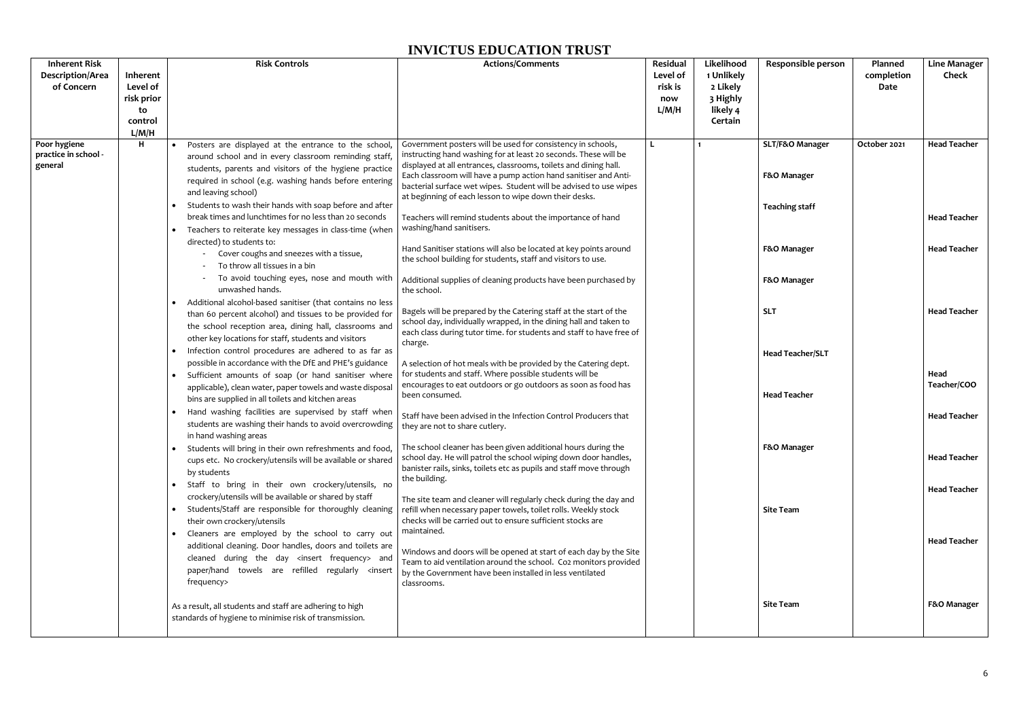| <b>Inherent Risk</b><br>Description/Area<br>of Concern | Inherent<br>Level of<br>risk prior<br>to<br>control<br>L/M/H | <b>Risk Controls</b>                                                                                                                                                                                                                                                                                                                                                                                                                                                                                                                                                                                                                                                                                                                                                                                                                                                                                                                                                                                                                                                                                                                                                                                                                                                                                                                                                                                                                                                                                                                                                                                                                                                                                                                                                                                                                                                                                                                                                                                                                                                               | <b>Actions/Comments</b>                                                                                                                                                                                                                                                                                                                                                                                                                                                                                                                                                                                                                                                                                                                                                                                                                                                                                                                                                                                                                                                                                                                                                                                                                                                                                                                                                                                                                                                                                                                                                                                                                                                                                                                                                                                                                                                                                                                     | Residual<br>Level of<br>risk is<br>now<br>L/M/H | Likelihood<br>1 Unlikely<br>2 Likely<br>3 Highly<br>likely 4<br>Certain | Responsible person                                                                                                                                                                                           | Planned<br>completion<br><b>Date</b> | <b>Line Manager</b><br><b>Check</b>                                                                                                                                                                                        |
|--------------------------------------------------------|--------------------------------------------------------------|------------------------------------------------------------------------------------------------------------------------------------------------------------------------------------------------------------------------------------------------------------------------------------------------------------------------------------------------------------------------------------------------------------------------------------------------------------------------------------------------------------------------------------------------------------------------------------------------------------------------------------------------------------------------------------------------------------------------------------------------------------------------------------------------------------------------------------------------------------------------------------------------------------------------------------------------------------------------------------------------------------------------------------------------------------------------------------------------------------------------------------------------------------------------------------------------------------------------------------------------------------------------------------------------------------------------------------------------------------------------------------------------------------------------------------------------------------------------------------------------------------------------------------------------------------------------------------------------------------------------------------------------------------------------------------------------------------------------------------------------------------------------------------------------------------------------------------------------------------------------------------------------------------------------------------------------------------------------------------------------------------------------------------------------------------------------------------|---------------------------------------------------------------------------------------------------------------------------------------------------------------------------------------------------------------------------------------------------------------------------------------------------------------------------------------------------------------------------------------------------------------------------------------------------------------------------------------------------------------------------------------------------------------------------------------------------------------------------------------------------------------------------------------------------------------------------------------------------------------------------------------------------------------------------------------------------------------------------------------------------------------------------------------------------------------------------------------------------------------------------------------------------------------------------------------------------------------------------------------------------------------------------------------------------------------------------------------------------------------------------------------------------------------------------------------------------------------------------------------------------------------------------------------------------------------------------------------------------------------------------------------------------------------------------------------------------------------------------------------------------------------------------------------------------------------------------------------------------------------------------------------------------------------------------------------------------------------------------------------------------------------------------------------------|-------------------------------------------------|-------------------------------------------------------------------------|--------------------------------------------------------------------------------------------------------------------------------------------------------------------------------------------------------------|--------------------------------------|----------------------------------------------------------------------------------------------------------------------------------------------------------------------------------------------------------------------------|
| Poor hygiene<br>practice in school -<br>general        | H                                                            | Posters are displayed at the entrance to the school,<br>around school and in every classroom reminding staff<br>students, parents and visitors of the hygiene practice<br>required in school (e.g. washing hands before entering<br>and leaving school)<br>• Students to wash their hands with soap before and after<br>break times and lunchtimes for no less than 20 seconds<br>• Teachers to reiterate key messages in class-time (when<br>directed) to students to:<br>Cover coughs and sneezes with a tissue,<br>To throw all tissues in a bin<br>To avoid touching eyes, nose and mouth with<br>unwashed hands.<br>• Additional alcohol-based sanitiser (that contains no less<br>than 60 percent alcohol) and tissues to be provided for<br>the school reception area, dining hall, classrooms and<br>other key locations for staff, students and visitors<br>Infection control procedures are adhered to as far as<br>possible in accordance with the DfE and PHE's guidance<br>Sufficient amounts of soap (or hand sanitiser where<br>$\bullet$<br>applicable), clean water, paper towels and waste disposal<br>bins are supplied in all toilets and kitchen areas<br>Hand washing facilities are supervised by staff when<br>$\bullet$<br>students are washing their hands to avoid overcrowding<br>in hand washing areas<br>• Students will bring in their own refreshments and food,<br>cups etc. No crockery/utensils will be available or shared<br>by students<br>• Staff to bring in their own crockery/utensils, no<br>crockery/utensils will be available or shared by staff<br>• Students/Staff are responsible for thoroughly cleaning<br>their own crockery/utensils<br>• Cleaners are employed by the school to carry out<br>additional cleaning. Door handles, doors and toilets are<br>cleaned during the day <insert frequency=""> and<br/>paper/hand towels are refilled regularly <insert<br>frequency&gt;<br/>As a result, all students and staff are adhering to high<br/>standards of hygiene to minimise risk of transmission.</insert<br></insert> | Government posters will be used for consistency in schools,<br>instructing hand washing for at least 20 seconds. These will be<br>displayed at all entrances, classrooms, toilets and dining hall.<br>Each classroom will have a pump action hand sanitiser and Anti-<br>bacterial surface wet wipes. Student will be advised to use wipes<br>at beginning of each lesson to wipe down their desks.<br>Teachers will remind students about the importance of hand<br>washing/hand sanitisers.<br>Hand Sanitiser stations will also be located at key points around<br>the school building for students, staff and visitors to use.<br>Additional supplies of cleaning products have been purchased by<br>the school.<br>Bagels will be prepared by the Catering staff at the start of the<br>school day, individually wrapped, in the dining hall and taken to<br>each class during tutor time. for students and staff to have free of<br>charge.<br>A selection of hot meals with be provided by the Catering dept.<br>for students and staff. Where possible students will be<br>encourages to eat outdoors or go outdoors as soon as food has<br>been consumed.<br>Staff have been advised in the Infection Control Producers that<br>they are not to share cutlery.<br>The school cleaner has been given additional hours during the<br>school day. He will patrol the school wiping down door handles,<br>banister rails, sinks, toilets etc as pupils and staff move through<br>the building.<br>The site team and cleaner will regularly check during the day and<br>refill when necessary paper towels, toilet rolls. Weekly stock<br>checks will be carried out to ensure sufficient stocks are<br>maintained.<br>Windows and doors will be opened at start of each day by the Site<br>Team to aid ventilation around the school. Co2 monitors provided<br>by the Government have been installed in less ventilated<br>classrooms. | L                                               |                                                                         | SLT/F&O Manager<br>F&O Manager<br><b>Teaching staff</b><br>F&O Manager<br>F&O Manager<br><b>SLT</b><br><b>Head Teacher/SLT</b><br><b>Head Teacher</b><br>F&O Manager<br><b>Site Team</b><br><b>Site Team</b> | October 2021                         | <b>Head Teacher</b><br><b>Head Teacher</b><br><b>Head Teacher</b><br><b>Head Teacher</b><br>Head<br>Teacher/COO<br><b>Head Teacher</b><br><b>Head Teacher</b><br><b>Head Teacher</b><br><b>Head Teacher</b><br>F&O Manager |
|                                                        |                                                              |                                                                                                                                                                                                                                                                                                                                                                                                                                                                                                                                                                                                                                                                                                                                                                                                                                                                                                                                                                                                                                                                                                                                                                                                                                                                                                                                                                                                                                                                                                                                                                                                                                                                                                                                                                                                                                                                                                                                                                                                                                                                                    |                                                                                                                                                                                                                                                                                                                                                                                                                                                                                                                                                                                                                                                                                                                                                                                                                                                                                                                                                                                                                                                                                                                                                                                                                                                                                                                                                                                                                                                                                                                                                                                                                                                                                                                                                                                                                                                                                                                                             |                                                 |                                                                         |                                                                                                                                                                                                              |                                      |                                                                                                                                                                                                                            |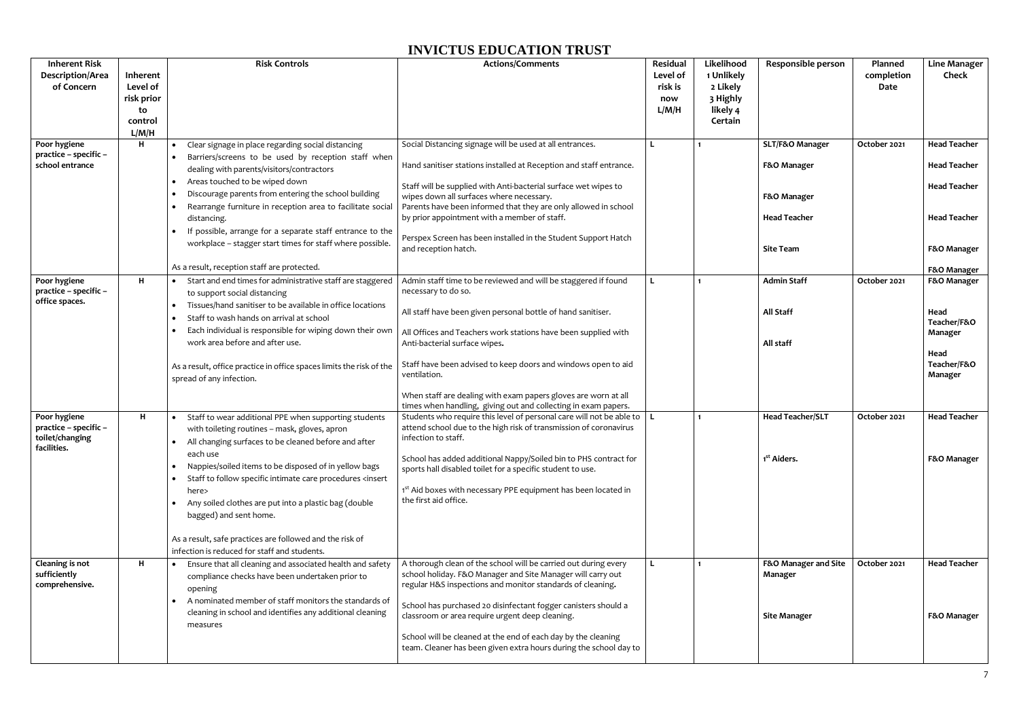| <b>Inherent Risk</b><br><b>Description/Area</b><br>of Concern           | Inherent<br>Level of<br>risk prior<br>to<br>control<br>L/M/H | <b>Risk Controls</b>                                                                                                                                                                                                                                                                                                                                                                                                                                                                                                                                                                                                     | <b>Actions/Comments</b>                                                                                                                                                                                                                                                                                                                                                                                                                                                       | Residual<br>Level of<br>risk is<br>now<br>L/M/H | Likelihood<br>1 Unlikely<br>2 Likely<br>3 Highly<br>likely 4<br>Certain | Responsible person                                                                       | Planned<br>completion<br>Date | <b>Line Manager</b><br><b>Check</b>                                                                     |
|-------------------------------------------------------------------------|--------------------------------------------------------------|--------------------------------------------------------------------------------------------------------------------------------------------------------------------------------------------------------------------------------------------------------------------------------------------------------------------------------------------------------------------------------------------------------------------------------------------------------------------------------------------------------------------------------------------------------------------------------------------------------------------------|-------------------------------------------------------------------------------------------------------------------------------------------------------------------------------------------------------------------------------------------------------------------------------------------------------------------------------------------------------------------------------------------------------------------------------------------------------------------------------|-------------------------------------------------|-------------------------------------------------------------------------|------------------------------------------------------------------------------------------|-------------------------------|---------------------------------------------------------------------------------------------------------|
| Poor hygiene<br>practice - specific -<br>school entrance                | H                                                            | Clear signage in place regarding social distancing<br>$\bullet$<br>Barriers/screens to be used by reception staff when<br>$\bullet$<br>dealing with parents/visitors/contractors<br>Areas touched to be wiped down<br>$\bullet$<br>Discourage parents from entering the school building<br>$\bullet$<br>Rearrange furniture in reception area to facilitate social<br>$\bullet$<br>distancing.<br>If possible, arrange for a separate staff entrance to the<br>workplace - stagger start times for staff where possible.                                                                                                 | Social Distancing signage will be used at all entrances.<br>Hand sanitiser stations installed at Reception and staff entrance.<br>Staff will be supplied with Anti-bacterial surface wet wipes to<br>wipes down all surfaces where necessary.<br>Parents have been informed that they are only allowed in school<br>by prior appointment with a member of staff.<br>Perspex Screen has been installed in the Student Support Hatch<br>and reception hatch.                    |                                                 |                                                                         | SLT/F&O Manager<br>F&O Manager<br>F&O Manager<br><b>Head Teacher</b><br><b>Site Team</b> | October 2021                  | <b>Head Teacher</b><br><b>Head Teacher</b><br><b>Head Teacher</b><br><b>Head Teacher</b><br>F&O Manager |
| Poor hygiene<br>practice - specific -<br>office spaces.                 | H                                                            | As a result, reception staff are protected.<br>Start and end times for administrative staff are staggered<br>to support social distancing<br>Tissues/hand sanitiser to be available in office locations<br>$\bullet$<br>Staff to wash hands on arrival at school<br>Each individual is responsible for wiping down their own<br>work area before and after use.<br>As a result, office practice in office spaces limits the risk of the<br>spread of any infection.                                                                                                                                                      | Admin staff time to be reviewed and will be staggered if found<br>necessary to do so.<br>All staff have been given personal bottle of hand sanitiser.<br>All Offices and Teachers work stations have been supplied with<br>Anti-bacterial surface wipes.<br>Staff have been advised to keep doors and windows open to aid<br>ventilation.<br>When staff are dealing with exam papers gloves are worn at all<br>times when handling, giving out and collecting in exam papers. |                                                 | $\mathbf{1}$                                                            | <b>Admin Staff</b><br><b>All Staff</b><br>All staff                                      | October 2021                  | F&O Manager<br>F&O Manager<br>Head<br>Teacher/F&O<br>Manager<br>Head<br>Teacher/F&O<br>Manager          |
| Poor hygiene<br>practice - specific -<br>toilet/changing<br>facilities. | H                                                            | Staff to wear additional PPE when supporting students<br>$\bullet$<br>with toileting routines - mask, gloves, apron<br>All changing surfaces to be cleaned before and after<br>each use<br>Nappies/soiled items to be disposed of in yellow bags<br>$\bullet$<br>Staff to follow specific intimate care procedures <insert<br><math>\bullet</math><br/>here&gt;<br/>Any soiled clothes are put into a plastic bag (double<br/><math display="inline">\bullet</math><br/>bagged) and sent home.<br/>As a result, safe practices are followed and the risk of<br/>infection is reduced for staff and students.</insert<br> | Students who require this level of personal care will not be able to $\ $ L<br>attend school due to the high risk of transmission of coronavirus<br>infection to staff.<br>School has added additional Nappy/Soiled bin to PHS contract for<br>sports hall disabled toilet for a specific student to use.<br>1st Aid boxes with necessary PPE equipment has been located in<br>the first aid office.                                                                          |                                                 |                                                                         | <b>Head Teacher/SLT</b><br>1 <sup>st</sup> Aiders.                                       | October 2021                  | <b>Head Teacher</b><br>F&O Manager                                                                      |
| <b>Cleaning is not</b><br>sufficiently<br>comprehensive.                | H                                                            | • Ensure that all cleaning and associated health and safety<br>compliance checks have been undertaken prior to<br>opening<br>A nominated member of staff monitors the standards of<br>$\bullet$<br>cleaning in school and identifies any additional cleaning<br>measures                                                                                                                                                                                                                                                                                                                                                 | A thorough clean of the school will be carried out during every<br>school holiday. F&O Manager and Site Manager will carry out<br>regular H&S inspections and monitor standards of cleaning.<br>School has purchased 20 disinfectant fogger canisters should a<br>classroom or area require urgent deep cleaning.<br>School will be cleaned at the end of each day by the cleaning<br>team. Cleaner has been given extra hours during the school day to                       |                                                 | $\mathbf{1}$                                                            | F&O Manager and Site<br>Manager<br><b>Site Manager</b>                                   | October 2021                  | <b>Head Teacher</b><br>F&O Manager                                                                      |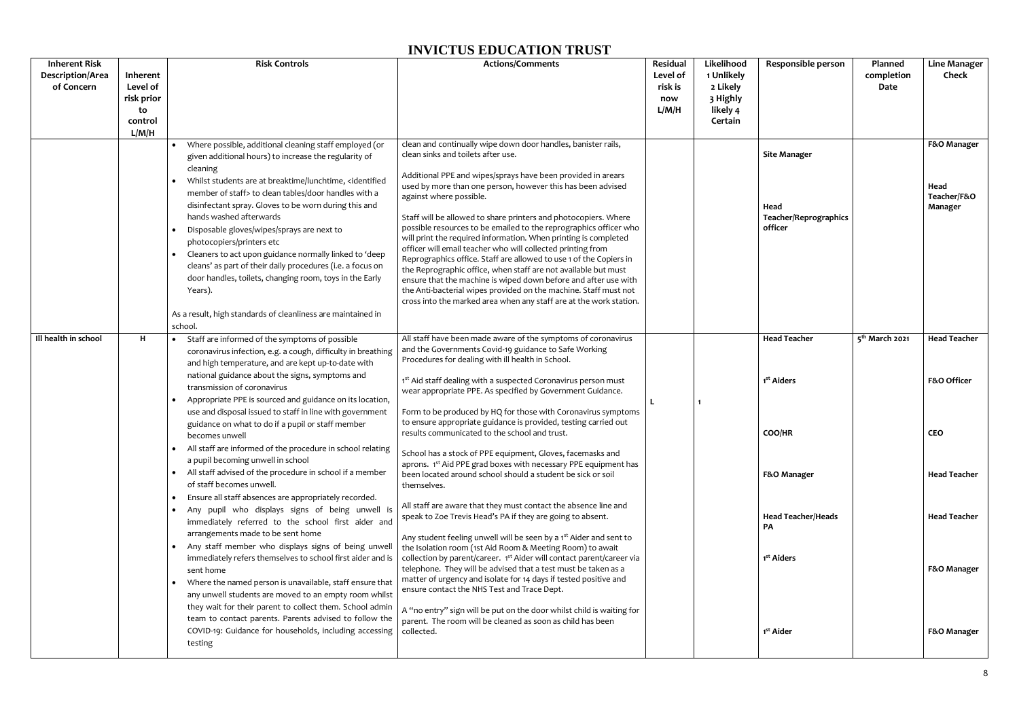| <b>Inherent Risk</b><br>Description/Area<br>of Concern | Inherent<br>Level of<br>risk prior<br>to<br>control<br>L/M/H | <b>Risk Controls</b>                                                                                                                                                                                                                                                                                                                                            | <b>Actions/Comments</b>                                                                                                                                                                                                                                                                                                                                                                                                                                                                                                                                  | Residual<br>Level of<br>risk is<br>now<br>L/M/H | Likelihood<br>1 Unlikely<br>2 Likely<br>3 Highly<br>likely 4<br>Certain | <b>Responsible person</b>                            | Planned<br>completion<br>Date | <b>Line Manager</b><br><b>Check</b>           |
|--------------------------------------------------------|--------------------------------------------------------------|-----------------------------------------------------------------------------------------------------------------------------------------------------------------------------------------------------------------------------------------------------------------------------------------------------------------------------------------------------------------|----------------------------------------------------------------------------------------------------------------------------------------------------------------------------------------------------------------------------------------------------------------------------------------------------------------------------------------------------------------------------------------------------------------------------------------------------------------------------------------------------------------------------------------------------------|-------------------------------------------------|-------------------------------------------------------------------------|------------------------------------------------------|-------------------------------|-----------------------------------------------|
|                                                        |                                                              | Where possible, additional cleaning staff employed (or<br>given additional hours) to increase the regularity of<br>cleaning<br>• Whilst students are at breaktime/lunchtime, <identified<br>member of staff&gt; to clean tables/door handles with a<br/>disinfectant spray. Gloves to be worn during this and<br/>hands washed afterwards</identified<br>       | clean and continually wipe down door handles, banister rails,<br>clean sinks and toilets after use.<br>Additional PPE and wipes/sprays have been provided in arears<br>used by more than one person, however this has been advised<br>against where possible.<br>Staff will be allowed to share printers and photocopiers. Where                                                                                                                                                                                                                         |                                                 |                                                                         | <b>Site Manager</b><br>Head<br>Teacher/Reprographics |                               | F&O Manager<br>Head<br>Teacher/F&O<br>Manager |
|                                                        |                                                              | Disposable gloves/wipes/sprays are next to<br>$\bullet$<br>photocopiers/printers etc<br>• Cleaners to act upon guidance normally linked to 'deep<br>cleans' as part of their daily procedures (i.e. a focus on<br>door handles, toilets, changing room, toys in the Early<br>Years).<br>As a result, high standards of cleanliness are maintained in<br>school. | possible resources to be emailed to the reprographics officer who<br>will print the required information. When printing is completed<br>officer will email teacher who will collected printing from<br>Reprographics office. Staff are allowed to use 1 of the Copiers in<br>the Reprographic office, when staff are not available but must<br>ensure that the machine is wiped down before and after use with<br>the Anti-bacterial wipes provided on the machine. Staff must not<br>cross into the marked area when any staff are at the work station. |                                                 |                                                                         | officer                                              |                               |                                               |
| Ill health in school                                   | H                                                            | • Staff are informed of the symptoms of possible<br>coronavirus infection, e.g. a cough, difficulty in breathing<br>and high temperature, and are kept up-to-date with                                                                                                                                                                                          | All staff have been made aware of the symptoms of coronavirus<br>and the Governments Covid-19 guidance to Safe Working<br>Procedures for dealing with ill health in School.                                                                                                                                                                                                                                                                                                                                                                              |                                                 |                                                                         | <b>Head Teacher</b>                                  | 5 <sup>th</sup> March 2021    | <b>Head Teacher</b>                           |
|                                                        |                                                              | national guidance about the signs, symptoms and<br>transmission of coronavirus<br>Appropriate PPE is sourced and guidance on its location,<br>use and disposal issued to staff in line with government                                                                                                                                                          | 1st Aid staff dealing with a suspected Coronavirus person must<br>wear appropriate PPE. As specified by Government Guidance.<br>Form to be produced by HQ for those with Coronavirus symptoms<br>to ensure appropriate guidance is provided, testing carried out                                                                                                                                                                                                                                                                                         |                                                 |                                                                         | 1 <sup>st</sup> Aiders                               |                               | F&O Officer                                   |
|                                                        |                                                              | guidance on what to do if a pupil or staff member<br>becomes unwell<br>• All staff are informed of the procedure in school relating<br>a pupil becoming unwell in school                                                                                                                                                                                        | results communicated to the school and trust.<br>School has a stock of PPE equipment, Gloves, facemasks and                                                                                                                                                                                                                                                                                                                                                                                                                                              |                                                 |                                                                         | COO/HR                                               |                               | <b>CEO</b>                                    |
|                                                        |                                                              | • All staff advised of the procedure in school if a member<br>of staff becomes unwell.<br>• Ensure all staff absences are appropriately recorded.                                                                                                                                                                                                               | aprons. 1 <sup>st</sup> Aid PPE grad boxes with necessary PPE equipment has<br>been located around school should a student be sick or soil<br>themselves.                                                                                                                                                                                                                                                                                                                                                                                                |                                                 |                                                                         | F&O Manager                                          |                               | <b>Head Teacher</b>                           |
|                                                        |                                                              | . Any pupil who displays signs of being unwell is<br>immediately referred to the school first aider and<br>arrangements made to be sent home                                                                                                                                                                                                                    | All staff are aware that they must contact the absence line and<br>speak to Zoe Trevis Head's PA if they are going to absent.<br>Any student feeling unwell will be seen by a 1 <sup>st</sup> Aider and sent to                                                                                                                                                                                                                                                                                                                                          |                                                 |                                                                         | <b>Head Teacher/Heads</b><br><b>PA</b>               |                               | <b>Head Teacher</b>                           |
|                                                        |                                                              | • Any staff member who displays signs of being unwell<br>immediately refers themselves to school first aider and is<br>sent home<br>• Where the named person is unavailable, staff ensure that<br>any unwell students are moved to an empty room whilst                                                                                                         | the Isolation room (1st Aid Room & Meeting Room) to await<br>collection by parent/career. 1 <sup>st</sup> Aider will contact parent/career via<br>telephone. They will be advised that a test must be taken as a<br>matter of urgency and isolate for 14 days if tested positive and<br>ensure contact the NHS Test and Trace Dept.                                                                                                                                                                                                                      |                                                 |                                                                         | 1 <sup>st</sup> Aiders                               |                               | F&O Manager                                   |
|                                                        |                                                              | they wait for their parent to collect them. School admin<br>team to contact parents. Parents advised to follow the<br>COVID-19: Guidance for households, including accessing<br>testing                                                                                                                                                                         | A "no entry" sign will be put on the door whilst child is waiting for<br>parent. The room will be cleaned as soon as child has been<br>collected.                                                                                                                                                                                                                                                                                                                                                                                                        |                                                 |                                                                         | 1 <sup>st</sup> Aider                                |                               | F&O Manager                                   |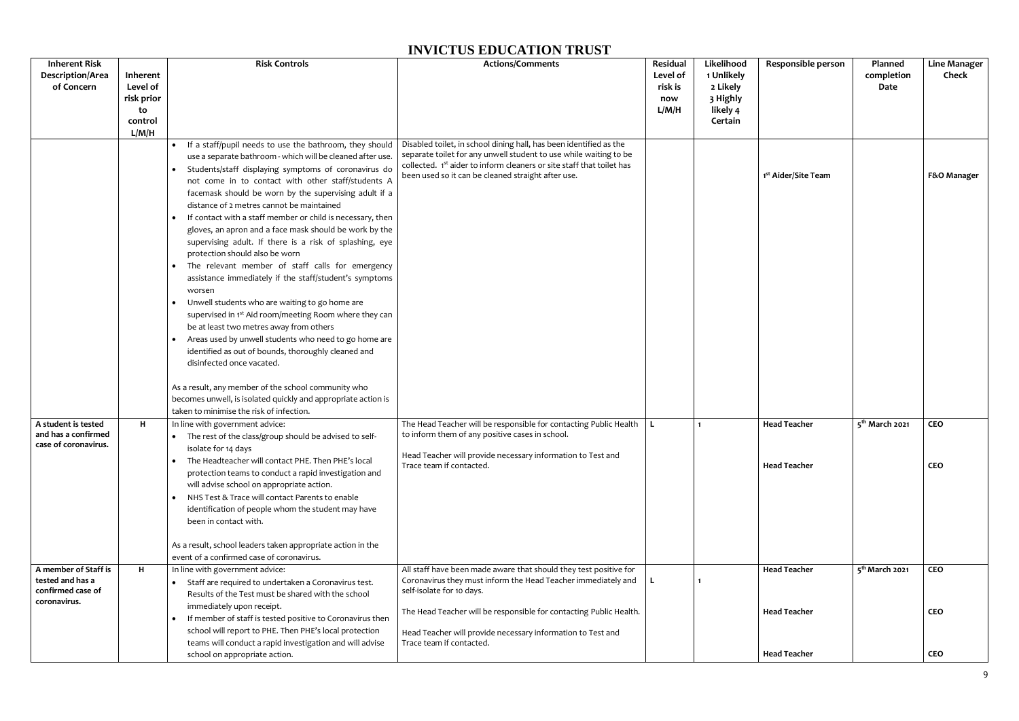| <b>Inherent Risk</b><br><b>Description/Area</b><br>of Concern                 | Inherent<br>Level of<br>risk prior<br>to<br>control<br>L/M/H | <b>Risk Controls</b>                                                                                                                                                                                                                                                                                                                                                                                                                                                                                                                                                                                                                                                                                                                                                                                                                                                                                                                                                                                                                                                                                                                                                                                                | <b>Actions/Comments</b>                                                                                                                                                                                                                                                                                                          | Residual<br>Level of<br>risk is<br>now<br>L/M/H | Likelihood<br>1 Unlikely<br>2 Likely<br>3 Highly<br>likely 4<br>Certain | Responsible person                                                | Planned<br>completion<br>Date | <b>Line Manager</b><br><b>Check</b>    |
|-------------------------------------------------------------------------------|--------------------------------------------------------------|---------------------------------------------------------------------------------------------------------------------------------------------------------------------------------------------------------------------------------------------------------------------------------------------------------------------------------------------------------------------------------------------------------------------------------------------------------------------------------------------------------------------------------------------------------------------------------------------------------------------------------------------------------------------------------------------------------------------------------------------------------------------------------------------------------------------------------------------------------------------------------------------------------------------------------------------------------------------------------------------------------------------------------------------------------------------------------------------------------------------------------------------------------------------------------------------------------------------|----------------------------------------------------------------------------------------------------------------------------------------------------------------------------------------------------------------------------------------------------------------------------------------------------------------------------------|-------------------------------------------------|-------------------------------------------------------------------------|-------------------------------------------------------------------|-------------------------------|----------------------------------------|
|                                                                               |                                                              | If a staff/pupil needs to use the bathroom, they should<br>$\bullet$<br>use a separate bathroom - which will be cleaned after use.<br>Students/staff displaying symptoms of coronavirus do<br>$\bullet$<br>not come in to contact with other staff/students A<br>facemask should be worn by the supervising adult if a<br>distance of 2 metres cannot be maintained<br>• If contact with a staff member or child is necessary, then<br>gloves, an apron and a face mask should be work by the<br>supervising adult. If there is a risk of splashing, eye<br>protection should also be worn<br>The relevant member of staff calls for emergency<br>assistance immediately if the staff/student's symptoms<br>worsen<br>Unwell students who are waiting to go home are<br>$\bullet$<br>supervised in 1 <sup>st</sup> Aid room/meeting Room where they can<br>be at least two metres away from others<br>Areas used by unwell students who need to go home are<br>identified as out of bounds, thoroughly cleaned and<br>disinfected once vacated.<br>As a result, any member of the school community who<br>becomes unwell, is isolated quickly and appropriate action is<br>taken to minimise the risk of infection. | Disabled toilet, in school dining hall, has been identified as the<br>separate toilet for any unwell student to use while waiting to be<br>collected. 1st aider to inform cleaners or site staff that toilet has<br>been used so it can be cleaned straight after use.                                                           |                                                 |                                                                         | 1 <sup>st</sup> Aider/Site Team                                   |                               | F&O Manager                            |
| A student is tested<br>and has a confirmed<br>case of coronavirus.            | H                                                            | In line with government advice:<br>• The rest of the class/group should be advised to self-<br>isolate for 14 days<br>The Headteacher will contact PHE. Then PHE's local<br>$\bullet$<br>protection teams to conduct a rapid investigation and<br>will advise school on appropriate action.<br>• NHS Test & Trace will contact Parents to enable<br>identification of people whom the student may have<br>been in contact with.<br>As a result, school leaders taken appropriate action in the                                                                                                                                                                                                                                                                                                                                                                                                                                                                                                                                                                                                                                                                                                                      | The Head Teacher will be responsible for contacting Public Health $\  L$<br>to inform them of any positive cases in school.<br>Head Teacher will provide necessary information to Test and<br>Trace team if contacted.                                                                                                           |                                                 | $\mathbf{1}$                                                            | <b>Head Teacher</b><br><b>Head Teacher</b>                        | 5 <sup>th</sup> March 2021    | <b>CEO</b><br><b>CEO</b>               |
| A member of Staff is<br>tested and has a<br>confirmed case of<br>coronavirus. | H                                                            | event of a confirmed case of coronavirus.<br>In line with government advice:<br>Staff are required to undertaken a Coronavirus test.<br>$\bullet$<br>Results of the Test must be shared with the school<br>immediately upon receipt.<br>If member of staff is tested positive to Coronavirus then<br>$\bullet$<br>school will report to PHE. Then PHE's local protection<br>teams will conduct a rapid investigation and will advise<br>school on appropriate action.                                                                                                                                                                                                                                                                                                                                                                                                                                                                                                                                                                                                                                                                                                                                               | All staff have been made aware that should they test positive for<br>Coronavirus they must inform the Head Teacher immediately and<br>self-isolate for 10 days.<br>The Head Teacher will be responsible for contacting Public Health.<br>Head Teacher will provide necessary information to Test and<br>Trace team if contacted. |                                                 | 1                                                                       | <b>Head Teacher</b><br><b>Head Teacher</b><br><b>Head Teacher</b> | 5 <sup>th</sup> March 2021    | <b>CEO</b><br><b>CEO</b><br><b>CEO</b> |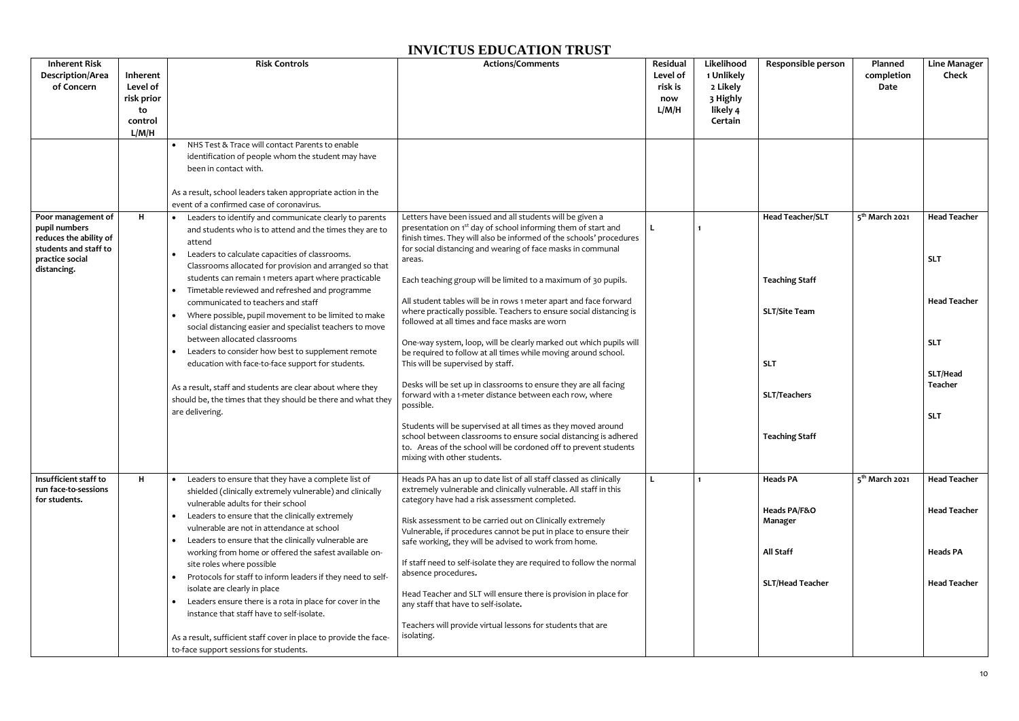| <b>Inherent Risk</b><br><b>Description/Area</b><br>of Concern                                      | Inherent<br>Level of<br>risk prior<br>to<br>control<br>L/M/H | <b>Risk Controls</b>                                                                                                                                                                                                                                                                                     | <b>Actions/Comments</b>                                                                                                                                                                                                                                                                     | Residual<br>Level of<br>risk is<br>now<br>L/M/H | Likelihood<br>1 Unlikely<br>2 Likely<br>3 Highly<br>likely 4<br>Certain | Responsible person      | Planned<br>completion<br>Date | <b>Line Manager</b><br><b>Check</b> |
|----------------------------------------------------------------------------------------------------|--------------------------------------------------------------|----------------------------------------------------------------------------------------------------------------------------------------------------------------------------------------------------------------------------------------------------------------------------------------------------------|---------------------------------------------------------------------------------------------------------------------------------------------------------------------------------------------------------------------------------------------------------------------------------------------|-------------------------------------------------|-------------------------------------------------------------------------|-------------------------|-------------------------------|-------------------------------------|
| Poor management of                                                                                 | H                                                            | • NHS Test & Trace will contact Parents to enable<br>identification of people whom the student may have<br>been in contact with.<br>As a result, school leaders taken appropriate action in the<br>event of a confirmed case of coronavirus.<br>• Leaders to identify and communicate clearly to parents | Letters have been issued and all students will be given a                                                                                                                                                                                                                                   |                                                 |                                                                         | <b>Head Teacher/SLT</b> | 5 <sup>th</sup> March 2021    | <b>Head Teacher</b>                 |
| pupil numbers<br>reduces the ability of<br>students and staff to<br>practice social<br>distancing. |                                                              | and students who is to attend and the times they are to<br>attend<br>Leaders to calculate capacities of classrooms.<br>$\bullet$<br>Classrooms allocated for provision and arranged so that<br>students can remain 1 meters apart where practicable                                                      | presentation on 1 <sup>st</sup> day of school informing them of start and<br>finish times. They will also be informed of the schools' procedures<br>for social distancing and wearing of face masks in communal<br>areas.<br>Each teaching group will be limited to a maximum of 30 pupils. |                                                 |                                                                         | <b>Teaching Staff</b>   |                               | <b>SLT</b>                          |
|                                                                                                    |                                                              | Timetable reviewed and refreshed and programme<br>communicated to teachers and staff<br>Where possible, pupil movement to be limited to make<br>$\bullet$<br>social distancing easier and specialist teachers to move                                                                                    | All student tables will be in rows 1 meter apart and face forward<br>where practically possible. Teachers to ensure social distancing is<br>followed at all times and face masks are worn                                                                                                   |                                                 |                                                                         | <b>SLT/Site Team</b>    |                               | <b>Head Teacher</b>                 |
|                                                                                                    |                                                              | between allocated classrooms<br>Leaders to consider how best to supplement remote<br>$\bullet$<br>education with face-to-face support for students.                                                                                                                                                      | One-way system, loop, will be clearly marked out which pupils will<br>be required to follow at all times while moving around school.<br>This will be supervised by staff.                                                                                                                   |                                                 |                                                                         | <b>SLT</b>              |                               | <b>SLT</b><br>SLT/Head              |
|                                                                                                    |                                                              | As a result, staff and students are clear about where they<br>should be, the times that they should be there and what they<br>are delivering.                                                                                                                                                            | Desks will be set up in classrooms to ensure they are all facing<br>forward with a 1-meter distance between each row, where<br>possible.                                                                                                                                                    |                                                 |                                                                         | <b>SLT/Teachers</b>     |                               | Teacher<br><b>SLT</b>               |
|                                                                                                    |                                                              |                                                                                                                                                                                                                                                                                                          | Students will be supervised at all times as they moved around<br>school between classrooms to ensure social distancing is adhered<br>to. Areas of the school will be cordoned off to prevent students<br>mixing with other students.                                                        |                                                 |                                                                         | <b>Teaching Staff</b>   |                               |                                     |
| Insufficient staff to<br>run face-to-sessions<br>for students.                                     | Н                                                            | • Leaders to ensure that they have a complete list of<br>shielded (clinically extremely vulnerable) and clinically<br>vulnerable adults for their school                                                                                                                                                 | Heads PA has an up to date list of all staff classed as clinically<br>extremely vulnerable and clinically vulnerable. All staff in this<br>category have had a risk assessment completed.                                                                                                   |                                                 | $\mathbf{1}$                                                            | <b>Heads PA</b>         | 5 <sup>th</sup> March 2021    | <b>Head Teacher</b>                 |
|                                                                                                    |                                                              | • Leaders to ensure that the clinically extremely<br>vulnerable are not in attendance at school<br>• Leaders to ensure that the clinically vulnerable are                                                                                                                                                | Risk assessment to be carried out on Clinically extremely<br>Vulnerable, if procedures cannot be put in place to ensure their<br>safe working, they will be advised to work from home.                                                                                                      |                                                 |                                                                         | Heads PA/F&O<br>Manager |                               | <b>Head Teacher</b>                 |
|                                                                                                    |                                                              | working from home or offered the safest available on-<br>site roles where possible<br>Protocols for staff to inform leaders if they need to self-<br>$\bullet$                                                                                                                                           | If staff need to self-isolate they are required to follow the normal<br>absence procedures.                                                                                                                                                                                                 |                                                 |                                                                         | <b>All Staff</b>        |                               | <b>Heads PA</b>                     |
|                                                                                                    |                                                              | isolate are clearly in place<br>Leaders ensure there is a rota in place for cover in the<br>$\bullet$<br>instance that staff have to self-isolate.                                                                                                                                                       | Head Teacher and SLT will ensure there is provision in place for<br>any staff that have to self-isolate.                                                                                                                                                                                    |                                                 |                                                                         | <b>SLT/Head Teacher</b> |                               | <b>Head Teacher</b>                 |
|                                                                                                    |                                                              | As a result, sufficient staff cover in place to provide the face-<br>to-face support sessions for students.                                                                                                                                                                                              | Teachers will provide virtual lessons for students that are<br>isolating.                                                                                                                                                                                                                   |                                                 |                                                                         |                         |                               |                                     |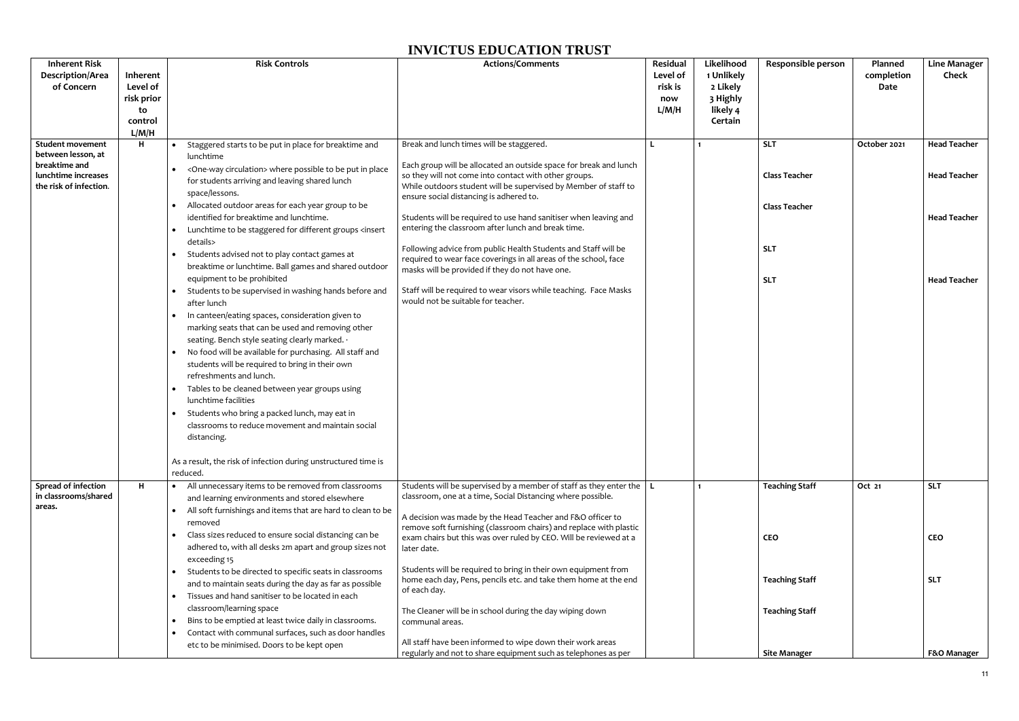| <b>Inherent Risk</b><br><b>Description/Area</b><br>of Concern                                                   | Inherent<br>Level of<br>risk prior<br>to<br>control<br>L/M/H | <b>Risk Controls</b>                                                                                                                                                                                                                                                                                                                                                                                                                                                                                                                                                                                                                                                                                                                                                                                                                                                                                                                                                                                                                                                                                                                                                                                                                                                                      | <b>Actions/Comments</b>                                                                                                                                                                                                                                                                                                                                                                                                                                                                                                                                                                                                                                                                                           | Residual<br>Level of<br>risk is<br>now<br>L/M/H | Likelihood<br>1 Unlikely<br>2 Likely<br>3 Highly<br>likely 4<br>Certain | Responsible person                                                                     | Planned<br>completion<br>Date | <b>Line Manager</b><br><b>Check</b>                                                      |
|-----------------------------------------------------------------------------------------------------------------|--------------------------------------------------------------|-------------------------------------------------------------------------------------------------------------------------------------------------------------------------------------------------------------------------------------------------------------------------------------------------------------------------------------------------------------------------------------------------------------------------------------------------------------------------------------------------------------------------------------------------------------------------------------------------------------------------------------------------------------------------------------------------------------------------------------------------------------------------------------------------------------------------------------------------------------------------------------------------------------------------------------------------------------------------------------------------------------------------------------------------------------------------------------------------------------------------------------------------------------------------------------------------------------------------------------------------------------------------------------------|-------------------------------------------------------------------------------------------------------------------------------------------------------------------------------------------------------------------------------------------------------------------------------------------------------------------------------------------------------------------------------------------------------------------------------------------------------------------------------------------------------------------------------------------------------------------------------------------------------------------------------------------------------------------------------------------------------------------|-------------------------------------------------|-------------------------------------------------------------------------|----------------------------------------------------------------------------------------|-------------------------------|------------------------------------------------------------------------------------------|
| <b>Student movement</b><br>between lesson, at<br>breaktime and<br>lunchtime increases<br>the risk of infection. | н                                                            | • Staggered starts to be put in place for breaktime and<br>lunchtime<br><one-way circulation=""> where possible to be put in place<br/>for students arriving and leaving shared lunch<br/>space/lessons.<br/>• Allocated outdoor areas for each year group to be<br/>identified for breaktime and lunchtime.<br/>• Lunchtime to be staggered for different groups <insert<br>details&gt;<br/>Students advised not to play contact games at<br/>breaktime or lunchtime. Ball games and shared outdoor<br/>equipment to be prohibited<br/>Students to be supervised in washing hands before and<br/><math>\bullet</math><br/>after lunch<br/>In canteen/eating spaces, consideration given to<br/><math>\bullet</math><br/>marking seats that can be used and removing other<br/>seating. Bench style seating clearly marked. .<br/>No food will be available for purchasing. All staff and<br/><math display="inline">\bullet</math><br/>students will be required to bring in their own<br/>refreshments and lunch.<br/>Tables to be cleaned between year groups using<br/><math display="inline">\bullet</math><br/>lunchtime facilities<br/>• Students who bring a packed lunch, may eat in<br/>classrooms to reduce movement and maintain social<br/>distancing.</insert<br></one-way> | Break and lunch times will be staggered.<br>Each group will be allocated an outside space for break and lunch<br>so they will not come into contact with other groups.<br>While outdoors student will be supervised by Member of staff to<br>ensure social distancing is adhered to.<br>Students will be required to use hand sanitiser when leaving and<br>entering the classroom after lunch and break time.<br>Following advice from public Health Students and Staff will be<br>required to wear face coverings in all areas of the school, face<br>masks will be provided if they do not have one.<br>Staff will be required to wear visors while teaching. Face Masks<br>would not be suitable for teacher. |                                                 | $\mathbf 1$                                                             | <b>SLT</b><br><b>Class Teacher</b><br><b>Class Teacher</b><br><b>SLT</b><br><b>SLT</b> | October 2021                  | <b>Head Teacher</b><br><b>Head Teacher</b><br><b>Head Teacher</b><br><b>Head Teacher</b> |
|                                                                                                                 |                                                              | As a result, the risk of infection during unstructured time is<br>reduced.                                                                                                                                                                                                                                                                                                                                                                                                                                                                                                                                                                                                                                                                                                                                                                                                                                                                                                                                                                                                                                                                                                                                                                                                                |                                                                                                                                                                                                                                                                                                                                                                                                                                                                                                                                                                                                                                                                                                                   |                                                 |                                                                         |                                                                                        |                               |                                                                                          |
| Spread of infection<br>in classrooms/shared<br>areas.                                                           | н                                                            | • All unnecessary items to be removed from classrooms<br>and learning environments and stored elsewhere<br>All soft furnishings and items that are hard to clean to be<br>$\bullet$<br>removed<br>• Class sizes reduced to ensure social distancing can be<br>adhered to, with all desks 2m apart and group sizes not                                                                                                                                                                                                                                                                                                                                                                                                                                                                                                                                                                                                                                                                                                                                                                                                                                                                                                                                                                     | Students will be supervised by a member of staff as they enter the $ L $<br>classroom, one at a time, Social Distancing where possible.<br>A decision was made by the Head Teacher and F&O officer to<br>remove soft furnishing (classroom chairs) and replace with plastic<br>exam chairs but this was over ruled by CEO. Will be reviewed at a<br>later date.                                                                                                                                                                                                                                                                                                                                                   |                                                 | $\mathbf{1}$                                                            | <b>Teaching Staff</b><br><b>CEO</b>                                                    | Oct 21                        | <b>SLT</b><br><b>CEO</b>                                                                 |
|                                                                                                                 |                                                              | exceeding 15<br>Students to be directed to specific seats in classrooms<br>$\bullet$<br>and to maintain seats during the day as far as possible<br>Tissues and hand sanitiser to be located in each<br>$\bullet$<br>classroom/learning space<br>Bins to be emptied at least twice daily in classrooms.<br>$\bullet$                                                                                                                                                                                                                                                                                                                                                                                                                                                                                                                                                                                                                                                                                                                                                                                                                                                                                                                                                                       | Students will be required to bring in their own equipment from<br>home each day, Pens, pencils etc. and take them home at the end<br>of each day.<br>The Cleaner will be in school during the day wiping down<br>communal areas.                                                                                                                                                                                                                                                                                                                                                                                                                                                                                  |                                                 |                                                                         | <b>Teaching Staff</b><br><b>Teaching Staff</b>                                         |                               | <b>SLT</b>                                                                               |
|                                                                                                                 |                                                              | Contact with communal surfaces, such as door handles<br>$\bullet$<br>etc to be minimised. Doors to be kept open                                                                                                                                                                                                                                                                                                                                                                                                                                                                                                                                                                                                                                                                                                                                                                                                                                                                                                                                                                                                                                                                                                                                                                           | All staff have been informed to wipe down their work areas<br>regularly and not to share equipment such as telephones as per                                                                                                                                                                                                                                                                                                                                                                                                                                                                                                                                                                                      |                                                 |                                                                         | <b>Site Manager</b>                                                                    |                               | F&O Manager                                                                              |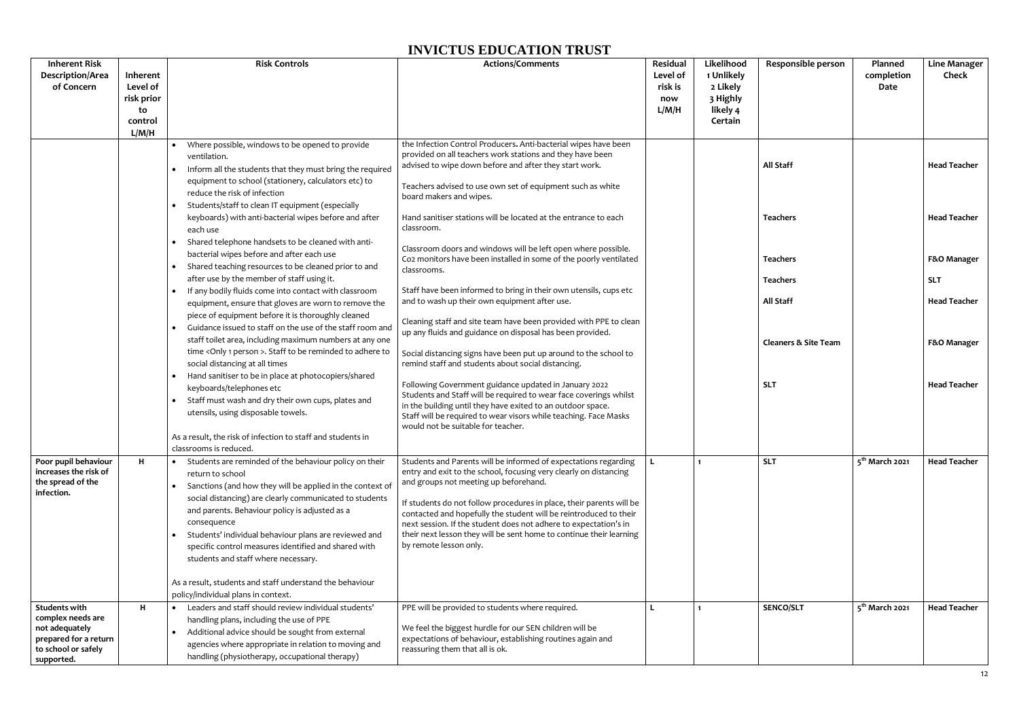| <b>Inherent Risk</b><br><b>Description/Area</b><br>of Concern                                                             | Inherent<br>Level of<br>risk prior<br>to<br>control<br>L/M/H | <b>Risk Controls</b>                                                                                                                                                                                                                                                                     | <b>Actions/Comments</b>                                                                                                                                                                                                                                                                                        | Residual<br>Level of<br>risk is<br>now<br>L/M/H | Likelihood<br>1 Unlikely<br>2 Likely<br>3 Highly<br>likely 4<br>Certain | <b>Responsible person</b>       | Planned<br>completion<br>Date | <b>Line Manager</b><br><b>Check</b> |
|---------------------------------------------------------------------------------------------------------------------------|--------------------------------------------------------------|------------------------------------------------------------------------------------------------------------------------------------------------------------------------------------------------------------------------------------------------------------------------------------------|----------------------------------------------------------------------------------------------------------------------------------------------------------------------------------------------------------------------------------------------------------------------------------------------------------------|-------------------------------------------------|-------------------------------------------------------------------------|---------------------------------|-------------------------------|-------------------------------------|
|                                                                                                                           |                                                              | • Where possible, windows to be opened to provide<br>ventilation.<br>• Inform all the students that they must bring the required                                                                                                                                                         | the Infection Control Producers. Anti-bacterial wipes have been<br>provided on all teachers work stations and they have been<br>advised to wipe down before and after they start work.                                                                                                                         |                                                 |                                                                         | <b>All Staff</b>                |                               | <b>Head Teacher</b>                 |
|                                                                                                                           |                                                              | equipment to school (stationery, calculators etc) to<br>reduce the risk of infection<br>Students/staff to clean IT equipment (especially<br>keyboards) with anti-bacterial wipes before and after<br>each use                                                                            | Teachers advised to use own set of equipment such as white<br>board makers and wipes.                                                                                                                                                                                                                          |                                                 |                                                                         |                                 |                               |                                     |
|                                                                                                                           |                                                              |                                                                                                                                                                                                                                                                                          | Hand sanitiser stations will be located at the entrance to each<br>classroom.                                                                                                                                                                                                                                  |                                                 |                                                                         | <b>Teachers</b>                 |                               | <b>Head Teacher</b>                 |
|                                                                                                                           |                                                              | Shared telephone handsets to be cleaned with anti-<br>bacterial wipes before and after each use<br>Shared teaching resources to be cleaned prior to and<br>$\bullet$                                                                                                                     | Classroom doors and windows will be left open where possible.<br>Co2 monitors have been installed in some of the poorly ventilated<br>classrooms.                                                                                                                                                              |                                                 |                                                                         | <b>Teachers</b>                 |                               | F&O Manager                         |
|                                                                                                                           |                                                              | after use by the member of staff using it.                                                                                                                                                                                                                                               |                                                                                                                                                                                                                                                                                                                |                                                 |                                                                         | <b>Teachers</b>                 |                               | <b>SLT</b>                          |
|                                                                                                                           |                                                              | • If any bodily fluids come into contact with classroom<br>equipment, ensure that gloves are worn to remove the                                                                                                                                                                          | Staff have been informed to bring in their own utensils, cups etc<br>and to wash up their own equipment after use.                                                                                                                                                                                             |                                                 |                                                                         | <b>All Staff</b>                |                               | <b>Head Teacher</b>                 |
|                                                                                                                           |                                                              | piece of equipment before it is thoroughly cleaned<br>Guidance issued to staff on the use of the staff room and<br>staff toilet area, including maximum numbers at any one                                                                                                               | Cleaning staff and site team have been provided with PPE to clean<br>up any fluids and guidance on disposal has been provided.                                                                                                                                                                                 |                                                 |                                                                         | <b>Cleaners &amp; Site Team</b> |                               | F&O Manager                         |
|                                                                                                                           |                                                              | time < Only 1 person >. Staff to be reminded to adhere to<br>social distancing at all times<br>• Hand sanitiser to be in place at photocopiers/shared                                                                                                                                    | Social distancing signs have been put up around to the school to<br>remind staff and students about social distancing.                                                                                                                                                                                         |                                                 |                                                                         |                                 |                               |                                     |
|                                                                                                                           | $\bullet$                                                    | keyboards/telephones etc<br>Staff must wash and dry their own cups, plates and<br>utensils, using disposable towels.                                                                                                                                                                     | Following Government guidance updated in January 2022<br>Students and Staff will be required to wear face coverings whilst<br>in the building until they have exited to an outdoor space.<br>Staff will be required to wear visors while teaching. Face Masks<br>would not be suitable for teacher.            |                                                 |                                                                         | <b>SLT</b>                      |                               | <b>Head Teacher</b>                 |
|                                                                                                                           |                                                              | As a result, the risk of infection to staff and students in                                                                                                                                                                                                                              |                                                                                                                                                                                                                                                                                                                |                                                 |                                                                         |                                 |                               |                                     |
|                                                                                                                           |                                                              | classrooms is reduced.                                                                                                                                                                                                                                                                   |                                                                                                                                                                                                                                                                                                                |                                                 |                                                                         |                                 |                               |                                     |
| Poor pupil behaviour<br>increases the risk of<br>the spread of the<br>infection.                                          | H                                                            | Students are reminded of the behaviour policy on their<br>$\bullet$<br>return to school<br>Sanctions (and how they will be applied in the context of<br>$\bullet$<br>social distancing) are clearly communicated to students                                                             | Students and Parents will be informed of expectations regarding<br>entry and exit to the school, focusing very clearly on distancing<br>and groups not meeting up beforehand.                                                                                                                                  |                                                 | $\mathbf{1}$                                                            | <b>SLT</b>                      | 5 <sup>th</sup> March 2021    | <b>Head Teacher</b>                 |
|                                                                                                                           |                                                              | and parents. Behaviour policy is adjusted as a<br>consequence<br>Students' individual behaviour plans are reviewed and<br>$\bullet$<br>specific control measures identified and shared with<br>students and staff where necessary.                                                       | If students do not follow procedures in place, their parents will be<br>contacted and hopefully the student will be reintroduced to their<br>next session. If the student does not adhere to expectation's in<br>their next lesson they will be sent home to continue their learning<br>by remote lesson only. |                                                 |                                                                         |                                 |                               |                                     |
|                                                                                                                           |                                                              | As a result, students and staff understand the behaviour<br>policy/individual plans in context.                                                                                                                                                                                          |                                                                                                                                                                                                                                                                                                                |                                                 |                                                                         |                                 |                               |                                     |
| <b>Students with</b><br>complex needs are<br>not adequately<br>prepared for a return<br>to school or safely<br>supported. | н                                                            | Leaders and staff should review individual students'<br>$\bullet$<br>handling plans, including the use of PPE<br>Additional advice should be sought from external<br>$\bullet$<br>agencies where appropriate in relation to moving and<br>handling (physiotherapy, occupational therapy) | PPE will be provided to students where required.<br>We feel the biggest hurdle for our SEN children will be<br>expectations of behaviour, establishing routines again and<br>reassuring them that all is ok.                                                                                                   |                                                 |                                                                         | <b>SENCO/SLT</b>                | 5 <sup>th</sup> March 2021    | <b>Head Teacher</b>                 |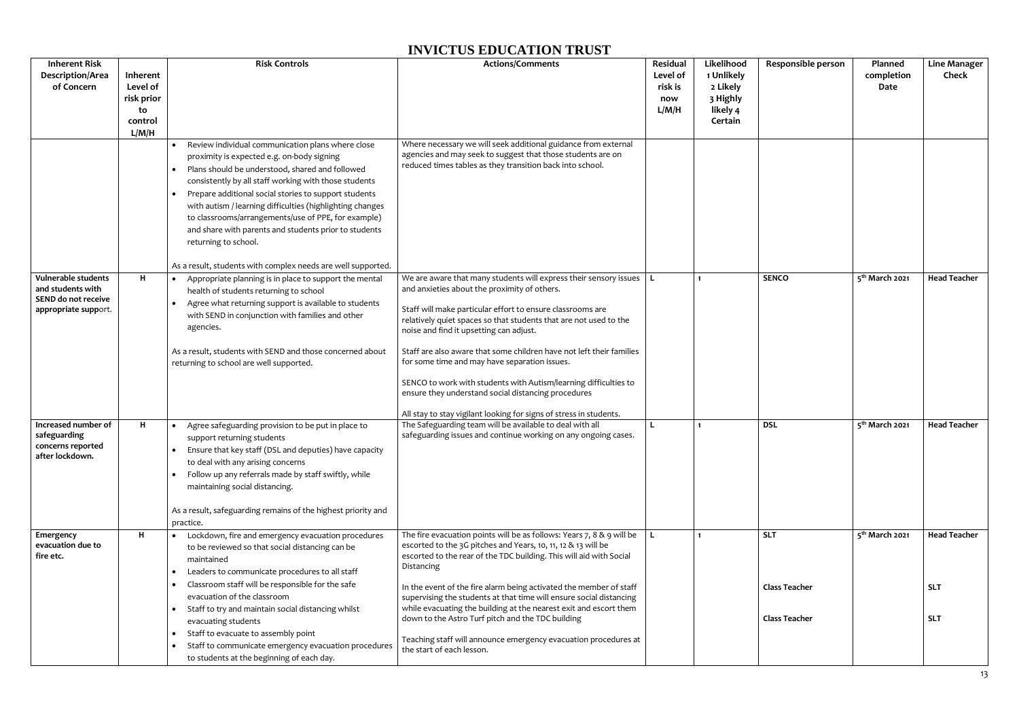| <b>Inherent Risk</b>                                                                                                                                |                                                              | <b>Risk Controls</b>                                                                                                                                                                                                                                                                                                                                                                                                                                                                                                                                                             |                                                                                                                                                                                                                                                                                                                                                                                                                                                                                                                                                                                                                                                                                                                                                               | Residual                            | Likelihood                                                |                                              |                                                          |                                            |
|-----------------------------------------------------------------------------------------------------------------------------------------------------|--------------------------------------------------------------|----------------------------------------------------------------------------------------------------------------------------------------------------------------------------------------------------------------------------------------------------------------------------------------------------------------------------------------------------------------------------------------------------------------------------------------------------------------------------------------------------------------------------------------------------------------------------------|---------------------------------------------------------------------------------------------------------------------------------------------------------------------------------------------------------------------------------------------------------------------------------------------------------------------------------------------------------------------------------------------------------------------------------------------------------------------------------------------------------------------------------------------------------------------------------------------------------------------------------------------------------------------------------------------------------------------------------------------------------------|-------------------------------------|-----------------------------------------------------------|----------------------------------------------|----------------------------------------------------------|--------------------------------------------|
| <b>Description/Area</b><br>of Concern                                                                                                               | Inherent<br>Level of<br>risk prior<br>to<br>control<br>L/M/H |                                                                                                                                                                                                                                                                                                                                                                                                                                                                                                                                                                                  | <b>Actions/Comments</b>                                                                                                                                                                                                                                                                                                                                                                                                                                                                                                                                                                                                                                                                                                                                       | Level of<br>risk is<br>now<br>L/M/H | 1 Unlikely<br>2 Likely<br>3 Highly<br>likely 4<br>Certain | Responsible person                           | Planned<br>completion<br>Date                            | <b>Line Manager</b><br><b>Check</b>        |
|                                                                                                                                                     |                                                              | Review individual communication plans where close<br>$\bullet$<br>proximity is expected e.g. on-body signing<br>Plans should be understood, shared and followed<br>$\bullet$<br>consistently by all staff working with those students<br>Prepare additional social stories to support students<br>$\bullet$<br>with autism / learning difficulties (highlighting changes<br>to classrooms/arrangements/use of PPE, for example)<br>and share with parents and students prior to students<br>returning to school.<br>As a result, students with complex needs are well supported. | Where necessary we will seek additional guidance from external<br>agencies and may seek to suggest that those students are on<br>reduced times tables as they transition back into school.                                                                                                                                                                                                                                                                                                                                                                                                                                                                                                                                                                    |                                     |                                                           |                                              |                                                          |                                            |
| Vulnerable students<br>and students with<br>SEND do not receive<br>appropriate support.<br>Increased number of<br>safeguarding<br>concerns reported | H<br>H                                                       | Appropriate planning is in place to support the mental<br>$\bullet$<br>health of students returning to school<br>Agree what returning support is available to students<br>with SEND in conjunction with families and other<br>agencies.<br>As a result, students with SEND and those concerned about<br>returning to school are well supported.<br>Agree safeguarding provision to be put in place to<br>$\bullet$<br>support returning students<br>Ensure that key staff (DSL and deputies) have capacity                                                                       | We are aware that many students will express their sensory issues $ L $<br>and anxieties about the proximity of others.<br>Staff will make particular effort to ensure classrooms are<br>relatively quiet spaces so that students that are not used to the<br>noise and find it upsetting can adjust.<br>Staff are also aware that some children have not left their families<br>for some time and may have separation issues.<br>SENCO to work with students with Autism/learning difficulties to<br>ensure they understand social distancing procedures<br>All stay to stay vigilant looking for signs of stress in students.<br>The Safeguarding team will be available to deal with all<br>safeguarding issues and continue working on any ongoing cases. |                                     | $\mathbf{1}$<br>$\mathbf 1$                               | <b>SENCO</b><br><b>DSL</b>                   | 5 <sup>th</sup> March 2021<br>5 <sup>th</sup> March 2021 | <b>Head Teacher</b><br><b>Head Teacher</b> |
| after lockdown.                                                                                                                                     |                                                              | to deal with any arising concerns<br>• Follow up any referrals made by staff swiftly, while<br>maintaining social distancing.<br>As a result, safeguarding remains of the highest priority and<br>practice.                                                                                                                                                                                                                                                                                                                                                                      |                                                                                                                                                                                                                                                                                                                                                                                                                                                                                                                                                                                                                                                                                                                                                               |                                     |                                                           |                                              |                                                          |                                            |
| Emergency<br>evacuation due to<br>fire etc.                                                                                                         | H                                                            | Lockdown, fire and emergency evacuation procedures<br>to be reviewed so that social distancing can be<br>maintained<br>Leaders to communicate procedures to all staff<br>$\bullet$                                                                                                                                                                                                                                                                                                                                                                                               | The fire evacuation points will be as follows: Years 7, 8 & 9 will be<br>escorted to the 3G pitches and Years, 10, 11, 12 & 13 will be<br>escorted to the rear of the TDC building. This will aid with Social<br>Distancing                                                                                                                                                                                                                                                                                                                                                                                                                                                                                                                                   |                                     | $\mathbf{1}$                                              | <b>SLT</b>                                   | 5 <sup>th</sup> March 2021                               | <b>Head Teacher</b>                        |
|                                                                                                                                                     |                                                              | Classroom staff will be responsible for the safe<br>evacuation of the classroom<br>Staff to try and maintain social distancing whilst<br>$\bullet$<br>evacuating students                                                                                                                                                                                                                                                                                                                                                                                                        | In the event of the fire alarm being activated the member of staff<br>supervising the students at that time will ensure social distancing<br>while evacuating the building at the nearest exit and escort them<br>down to the Astro Turf pitch and the TDC building                                                                                                                                                                                                                                                                                                                                                                                                                                                                                           |                                     |                                                           | <b>Class Teacher</b><br><b>Class Teacher</b> |                                                          | <b>SLT</b><br><b>SLT</b>                   |
|                                                                                                                                                     |                                                              | Staff to evacuate to assembly point<br>$\bullet$<br>Staff to communicate emergency evacuation procedures<br>$\bullet$<br>to students at the beginning of each day.                                                                                                                                                                                                                                                                                                                                                                                                               | Teaching staff will announce emergency evacuation procedures at<br>the start of each lesson.                                                                                                                                                                                                                                                                                                                                                                                                                                                                                                                                                                                                                                                                  |                                     |                                                           |                                              |                                                          |                                            |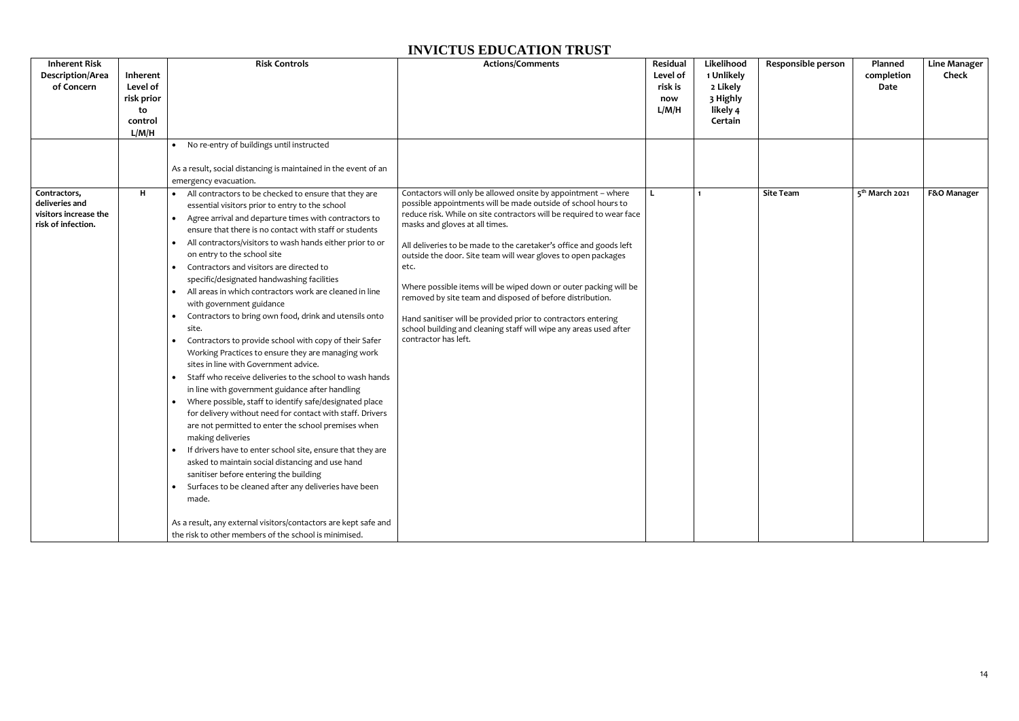| <b>Inherent Risk</b>                                                          |            | <b>Risk Controls</b>                                                                             | <b>Actions/Comments</b>                                                                                                             | <b>Residual</b> | Likelihood | Responsible person | Planned                    | Line Manager |
|-------------------------------------------------------------------------------|------------|--------------------------------------------------------------------------------------------------|-------------------------------------------------------------------------------------------------------------------------------------|-----------------|------------|--------------------|----------------------------|--------------|
| Description/Area                                                              | Inherent   |                                                                                                  |                                                                                                                                     | Level of        | 1 Unlikely |                    | completion                 | <b>Check</b> |
| of Concern                                                                    | Level of   |                                                                                                  |                                                                                                                                     | risk is         | 2 Likely   |                    | Date                       |              |
|                                                                               | risk prior |                                                                                                  |                                                                                                                                     | now             | 3 Highly   |                    |                            |              |
|                                                                               | to         |                                                                                                  |                                                                                                                                     | L/M/H           | likely 4   |                    |                            |              |
|                                                                               | control    |                                                                                                  |                                                                                                                                     |                 | Certain    |                    |                            |              |
|                                                                               | L/M/H      |                                                                                                  |                                                                                                                                     |                 |            |                    |                            |              |
|                                                                               |            | • No re-entry of buildings until instructed                                                      |                                                                                                                                     |                 |            |                    |                            |              |
|                                                                               |            |                                                                                                  |                                                                                                                                     |                 |            |                    |                            |              |
|                                                                               |            | As a result, social distancing is maintained in the event of an                                  |                                                                                                                                     |                 |            |                    |                            |              |
|                                                                               |            | emergency evacuation.                                                                            |                                                                                                                                     |                 |            |                    |                            |              |
| Contractors,<br>deliveries and<br>visitors increase the<br>risk of infection. | H          | • All contractors to be checked to ensure that they are                                          | Contactors will only be allowed onsite by appointment - where<br>possible appointments will be made outside of school hours to      |                 | 1          | <b>Site Team</b>   | 5 <sup>th</sup> March 2021 | F&O Manager  |
|                                                                               |            | essential visitors prior to entry to the school                                                  | reduce risk. While on site contractors will be required to wear face<br>masks and gloves at all times.                              |                 |            |                    |                            |              |
|                                                                               |            | Agree arrival and departure times with contractors to                                            |                                                                                                                                     |                 |            |                    |                            |              |
|                                                                               |            | ensure that there is no contact with staff or students                                           |                                                                                                                                     |                 |            |                    |                            |              |
|                                                                               |            | All contractors/visitors to wash hands either prior to or                                        | All deliveries to be made to the caretaker's office and goods left<br>outside the door. Site team will wear gloves to open packages |                 |            |                    |                            |              |
|                                                                               |            | on entry to the school site                                                                      |                                                                                                                                     |                 |            |                    |                            |              |
|                                                                               |            | • Contractors and visitors are directed to                                                       | etc.                                                                                                                                |                 |            |                    |                            |              |
|                                                                               |            | specific/designated handwashing facilities                                                       | Where possible items will be wiped down or outer packing will be                                                                    |                 |            |                    |                            |              |
|                                                                               |            | All areas in which contractors work are cleaned in line<br>$\bullet$<br>with government guidance | removed by site team and disposed of before distribution.                                                                           |                 |            |                    |                            |              |
|                                                                               |            | Contractors to bring own food, drink and utensils onto                                           | Hand sanitiser will be provided prior to contractors entering                                                                       |                 |            |                    |                            |              |
|                                                                               |            | site.                                                                                            | school building and cleaning staff will wipe any areas used after                                                                   |                 |            |                    |                            |              |
|                                                                               |            | Contractors to provide school with copy of their Safer                                           | contractor has left.                                                                                                                |                 |            |                    |                            |              |
|                                                                               |            | Working Practices to ensure they are managing work                                               |                                                                                                                                     |                 |            |                    |                            |              |
|                                                                               |            | sites in line with Government advice.                                                            |                                                                                                                                     |                 |            |                    |                            |              |
|                                                                               |            | • Staff who receive deliveries to the school to wash hands                                       |                                                                                                                                     |                 |            |                    |                            |              |
|                                                                               |            | in line with government guidance after handling                                                  |                                                                                                                                     |                 |            |                    |                            |              |
|                                                                               |            | Where possible, staff to identify safe/designated place<br>$\bullet$                             |                                                                                                                                     |                 |            |                    |                            |              |
|                                                                               |            | for delivery without need for contact with staff. Drivers                                        |                                                                                                                                     |                 |            |                    |                            |              |
|                                                                               |            | are not permitted to enter the school premises when                                              |                                                                                                                                     |                 |            |                    |                            |              |
|                                                                               |            | making deliveries                                                                                |                                                                                                                                     |                 |            |                    |                            |              |
|                                                                               |            | If drivers have to enter school site, ensure that they are                                       |                                                                                                                                     |                 |            |                    |                            |              |
|                                                                               |            | asked to maintain social distancing and use hand                                                 |                                                                                                                                     |                 |            |                    |                            |              |
|                                                                               |            | sanitiser before entering the building                                                           |                                                                                                                                     |                 |            |                    |                            |              |
|                                                                               |            | • Surfaces to be cleaned after any deliveries have been                                          |                                                                                                                                     |                 |            |                    |                            |              |
|                                                                               |            | made.                                                                                            |                                                                                                                                     |                 |            |                    |                            |              |
|                                                                               |            |                                                                                                  |                                                                                                                                     |                 |            |                    |                            |              |
|                                                                               |            | As a result, any external visitors/contactors are kept safe and                                  |                                                                                                                                     |                 |            |                    |                            |              |
|                                                                               |            | the risk to other members of the school is minimised.                                            |                                                                                                                                     |                 |            |                    |                            |              |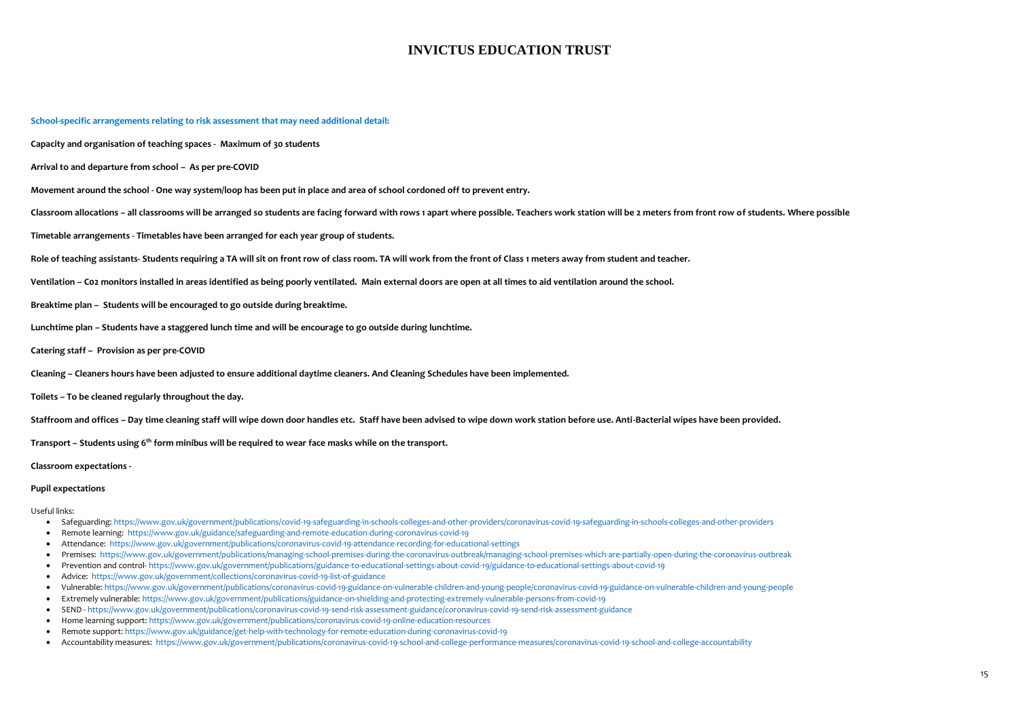#### **School-specific arrangements relating to risk assessment that may need additional detail:**

**Capacity and organisation of teaching spaces - Maximum of 30 students** 

**Arrival to and departure from school – As per pre-COVID**

**Movement around the school - One way system/loop has been put in place and area of school cordoned off to prevent entry.**

Classroom allocations - all classrooms will be arranged so students are facing forward with rows 1 apart where possible. Teachers work station will be 2 meters from front row of students. Where possible

**Timetable arrangements - Timetables have been arranged for each year group of students.**

**Role of teaching assistants- Students requiring a TA will sit on front row of class room. TA will work from the front of Class 1 meters away from student and teacher.**

**Ventilation – C02 monitors installed in areas identified as being poorly ventilated. Main external doors are open at all times to aid ventilation around the school.** 

**Breaktime plan – Students will be encouraged to go outside during breaktime.** 

**Lunchtime plan – Students have a staggered lunch time and will be encourage to go outside during lunchtime.** 

**Catering staff – Provision as per pre-COVID**

**Cleaning – Cleaners hours have been adjusted to ensure additional daytime cleaners. And Cleaning Schedules have been implemented.** 

**Toilets – To be cleaned regularly throughout the day.** 

**Staffroom and offices – Day time cleaning staff will wipe down door handles etc. Staff have been advised to wipe down work station before use. Anti-Bacterial wipes have been provided.**

**Transport – Students using 6th form minibus will be required to wear face masks while on the transport.**

**Classroom expectations -**

#### **Pupil expectations**

Useful links:

- Safeguarding:<https://www.gov.uk/government/publications/covid-19-safeguarding-in-schools-colleges-and-other-providers/coronavirus-covid-19-safeguarding-in-schools-colleges-and-other-providers>
- Remote learning: <https://www.gov.uk/guidance/safeguarding-and-remote-education-during-coronavirus-covid-19>
- Attendance:<https://www.gov.uk/government/publications/coronavirus-covid-19-attendance-recording-for-educational-settings>
- Premises: <https://www.gov.uk/government/publications/managing-school-premises-during-the-coronavirus-outbreak/managing-school-premises-which-are-partially-open-during-the-coronavirus-outbreak>
- Prevention and control- <https://www.gov.uk/government/publications/guidance-to-educational-settings-about-covid-19/guidance-to-educational-settings-about-covid-19>
- Advice:<https://www.gov.uk/government/collections/coronavirus-covid-19-list-of-guidance>
- Vulnerable:<https://www.gov.uk/government/publications/coronavirus-covid-19-guidance-on-vulnerable-children-and-young-people/coronavirus-covid-19-guidance-on-vulnerable-children-and-young-people>
- Extremely vulnerable:<https://www.gov.uk/government/publications/guidance-on-shielding-and-protecting-extremely-vulnerable-persons-from-covid-19>
- SEND <https://www.gov.uk/government/publications/coronavirus-covid-19-send-risk-assessment-guidance/coronavirus-covid-19-send-risk-assessment-guidance>
- Home learning support[: https://www.gov.uk/government/publications/coronavirus-covid-19-online-education-resources](https://www.gov.uk/government/publications/coronavirus-covid-19-online-education-resources)
- Remote support:<https://www.gov.uk/guidance/get-help-with-technology-for-remote-education-during-coronavirus-covid-19>
- Accountability measures:<https://www.gov.uk/government/publications/coronavirus-covid-19-school-and-college-performance-measures/coronavirus-covid-19-school-and-college-accountability>